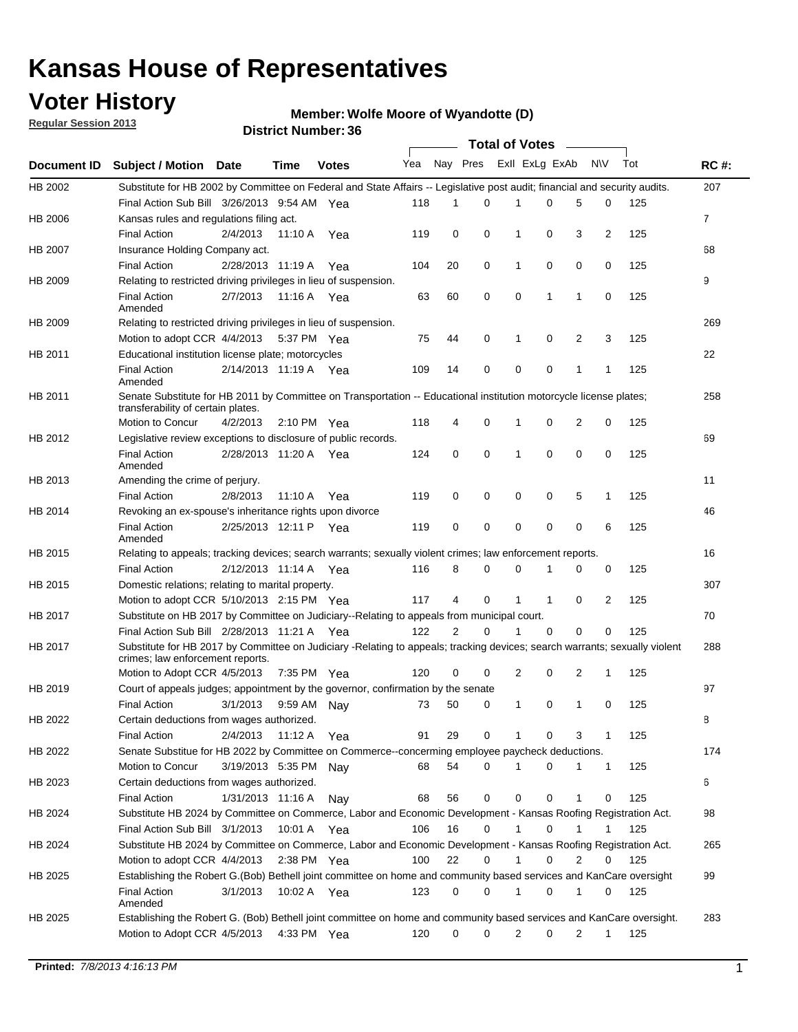## **Voter History**

**Member: Wolfe Moore of Wyandotte (D)** 

**Regular Session 2013**

|                    |                                                                                                                                                                |                       | <b>DISTRICT MAILINGL.</b> |              |     |          |          | Total of Votes – |              |                |              |     |                |
|--------------------|----------------------------------------------------------------------------------------------------------------------------------------------------------------|-----------------------|---------------------------|--------------|-----|----------|----------|------------------|--------------|----------------|--------------|-----|----------------|
| <b>Document ID</b> | <b>Subject / Motion Date</b>                                                                                                                                   |                       | Time                      | <b>Votes</b> | Yea | Nay Pres |          | Exll ExLg ExAb   |              |                | <b>NV</b>    | Tot | <b>RC#:</b>    |
| HB 2002            | Substitute for HB 2002 by Committee on Federal and State Affairs -- Legislative post audit; financial and security audits.                                     |                       |                           |              |     |          |          |                  |              |                |              |     | 207            |
|                    | Final Action Sub Bill 3/26/2013 9:54 AM Yea                                                                                                                    |                       |                           |              | 118 | 1        | $\Omega$ |                  | 0            | 5              | 0            | 125 |                |
| HB 2006            | Kansas rules and regulations filing act.                                                                                                                       |                       |                           |              |     |          |          |                  |              |                |              |     | $\overline{7}$ |
|                    | <b>Final Action</b>                                                                                                                                            | 2/4/2013              | 11:10 A                   | Yea          | 119 | 0        | 0        | $\mathbf 1$      | 0            | 3              | 2            | 125 |                |
| <b>HB 2007</b>     | Insurance Holding Company act.                                                                                                                                 |                       |                           |              |     |          |          |                  |              |                |              |     | 68             |
|                    | <b>Final Action</b>                                                                                                                                            | 2/28/2013 11:19 A     |                           | Yea          | 104 | 20       | 0        | 1                | 0            | 0              | 0            | 125 |                |
| HB 2009            | Relating to restricted driving privileges in lieu of suspension.                                                                                               |                       |                           |              |     |          |          |                  |              |                |              |     | 9              |
|                    | <b>Final Action</b><br>Amended                                                                                                                                 | 2/7/2013              | 11:16 A Yea               |              | 63  | 60       | 0        | 0                | 1            | 1              | 0            | 125 |                |
| HB 2009            | Relating to restricted driving privileges in lieu of suspension.                                                                                               |                       |                           |              |     |          |          |                  |              |                |              |     | 269            |
|                    | Motion to adopt CCR 4/4/2013                                                                                                                                   |                       | 5:37 PM Yea               |              | 75  | 44       | 0        | 1                | 0            | 2              | 3            | 125 |                |
| HB 2011            | Educational institution license plate; motorcycles                                                                                                             |                       |                           |              |     |          |          |                  |              |                |              |     | 22             |
|                    | <b>Final Action</b><br>Amended                                                                                                                                 | 2/14/2013 11:19 A     |                           | Yea          | 109 | 14       | 0        | 0                | 0            | 1              | 1            | 125 |                |
| HB 2011            | Senate Substitute for HB 2011 by Committee on Transportation -- Educational institution motorcycle license plates;<br>transferability of certain plates.       |                       |                           |              |     |          |          |                  |              |                |              |     | 258            |
|                    | Motion to Concur                                                                                                                                               | 4/2/2013              | $2:10 \text{ PM}$ Yea     |              | 118 | 4        | 0        | 1                | 0            | $\overline{2}$ | 0            | 125 |                |
| HB 2012            | Legislative review exceptions to disclosure of public records.                                                                                                 |                       |                           |              |     |          |          |                  |              |                |              |     | 69             |
|                    | <b>Final Action</b><br>Amended                                                                                                                                 | 2/28/2013 11:20 A Yea |                           |              | 124 | 0        | 0        | 1                | 0            | 0              | 0            | 125 |                |
| HB 2013            | Amending the crime of perjury.                                                                                                                                 |                       |                           |              |     |          |          |                  |              |                |              |     | 11             |
|                    | <b>Final Action</b>                                                                                                                                            | 2/8/2013              | 11:10 A                   | Yea          | 119 | 0        | 0        | 0                | 0            | 5              | $\mathbf{1}$ | 125 |                |
| HB 2014            | Revoking an ex-spouse's inheritance rights upon divorce                                                                                                        |                       |                           |              |     |          |          |                  |              |                |              |     | 46             |
|                    | <b>Final Action</b><br>Amended                                                                                                                                 | 2/25/2013 12:11 P     |                           | Yea          | 119 | 0        | 0        | 0                | 0            | 0              | 6            | 125 |                |
| HB 2015            | Relating to appeals; tracking devices; search warrants; sexually violent crimes; law enforcement reports.                                                      |                       |                           |              |     |          |          |                  |              |                |              |     | 16             |
|                    | <b>Final Action</b>                                                                                                                                            | 2/12/2013 11:14 A     |                           | Yea          | 116 | 8        | 0        | 0                | 1            | 0              | 0            | 125 |                |
| HB 2015            | Domestic relations; relating to marital property.                                                                                                              |                       |                           |              |     |          |          |                  |              |                |              |     | 307            |
|                    | Motion to adopt CCR 5/10/2013 2:15 PM Yea                                                                                                                      |                       |                           |              | 117 | 4        | 0        | 1                | $\mathbf{1}$ | 0              | 2            | 125 |                |
| HB 2017            | Substitute on HB 2017 by Committee on Judiciary--Relating to appeals from municipal court.                                                                     |                       |                           |              |     |          |          |                  |              |                |              |     | 70             |
|                    | Final Action Sub Bill 2/28/2013 11:21 A Yea                                                                                                                    |                       |                           |              | 122 | 2        | 0        | 1                | 0            | $\Omega$       | 0            | 125 |                |
| HB 2017            | Substitute for HB 2017 by Committee on Judiciary -Relating to appeals; tracking devices; search warrants; sexually violent<br>crimes; law enforcement reports. |                       |                           |              |     |          |          |                  |              |                |              |     | 288            |
|                    | Motion to Adopt CCR 4/5/2013                                                                                                                                   |                       | 7:35 PM Yea               |              | 120 | 0        | 0        | 2                | 0            | 2              | 1            | 125 |                |
| HB 2019            | Court of appeals judges; appointment by the governor, confirmation by the senate                                                                               |                       |                           |              |     |          |          |                  |              |                |              |     | 97             |
|                    | <b>Final Action</b>                                                                                                                                            | 3/1/2013              | 9:59 AM Nay               |              | 73  | 50       | 0        | 1                | 0            | 1              | 0            | 125 |                |
| HB 2022            | Certain deductions from wages authorized.                                                                                                                      |                       |                           |              |     |          |          |                  |              |                |              |     | 8              |
|                    | <b>Final Action</b>                                                                                                                                            | 2/4/2013              | 11:12 A                   | Yea          | 91  | 29       | 0        |                  | 0            | 3              | 1            | 125 |                |
| HB 2022            | Senate Substitue for HB 2022 by Committee on Commerce--concerming employee paycheck deductions.                                                                |                       |                           |              |     |          |          |                  |              |                |              |     | 174            |
|                    | Motion to Concur                                                                                                                                               | 3/19/2013 5:35 PM Nay |                           |              | 68  | 54       | 0        | 1                | 0            | 1              | $\mathbf{1}$ | 125 |                |
| HB 2023            | Certain deductions from wages authorized.                                                                                                                      |                       |                           |              |     |          |          |                  |              |                |              |     | 6              |
|                    | <b>Final Action</b>                                                                                                                                            | 1/31/2013 11:16 A     |                           | Nay          | 68  | 56       | 0        | 0                | 0            | 1              | 0            | 125 |                |
| HB 2024            | Substitute HB 2024 by Committee on Commerce, Labor and Economic Development - Kansas Roofing Registration Act.                                                 |                       |                           |              |     |          |          |                  |              |                |              |     | 98             |
|                    | Final Action Sub Bill 3/1/2013                                                                                                                                 |                       | 10:01 A                   | Yea          | 106 | 16       | 0        | 1                | 0            | 1              | 1            | 125 |                |
| HB 2024            | Substitute HB 2024 by Committee on Commerce, Labor and Economic Development - Kansas Roofing Registration Act.                                                 |                       |                           |              |     |          |          |                  |              |                |              |     | 265            |
|                    | Motion to adopt CCR 4/4/2013                                                                                                                                   |                       | $2:38$ PM Yea             |              | 100 | 22       | 0        | 1                | 0            | 2              | 0            | 125 |                |
| HB 2025            | Establishing the Robert G. (Bob) Bethell joint committee on home and community based services and KanCare oversight                                            |                       |                           |              |     |          |          |                  |              |                |              |     | 99             |
|                    | <b>Final Action</b><br>Amended                                                                                                                                 | 3/1/2013              | 10:02 A Yea               |              | 123 | 0        | 0        | 1                | 0            | 1              | 0            | 125 |                |
| HB 2025            | Establishing the Robert G. (Bob) Bethell joint committee on home and community based services and KanCare oversight.<br>Motion to Adopt CCR 4/5/2013           |                       | 4:33 PM Yea               |              | 120 | 0        | 0        | 2                | 0            | 2              | $\mathbf{1}$ | 125 | 283            |
|                    |                                                                                                                                                                |                       |                           |              |     |          |          |                  |              |                |              |     |                |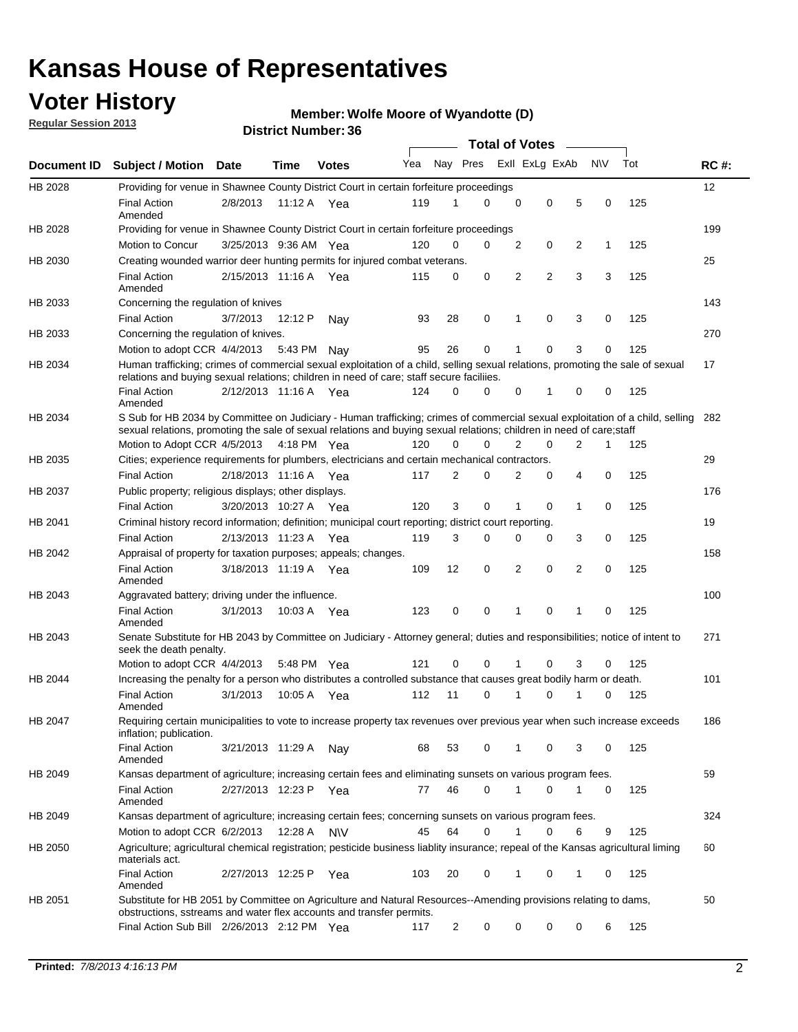## **Voter History**

**Regular Session 2013**

#### **Member: Wolfe Moore of Wyandotte (D)**

|             |                                                                                                                                                                                                                                                       |                       | טט. וסמוווטנו ועוווסו |              |     |    | <b>Total of Votes</b>   |                |                |   |              |     |     |
|-------------|-------------------------------------------------------------------------------------------------------------------------------------------------------------------------------------------------------------------------------------------------------|-----------------------|-----------------------|--------------|-----|----|-------------------------|----------------|----------------|---|--------------|-----|-----|
| Document ID | <b>Subject / Motion</b>                                                                                                                                                                                                                               | Date                  | Time                  | <b>Votes</b> | Yea |    | Nay Pres Exll ExLg ExAb |                |                |   | <b>NV</b>    | Tot | RC# |
| HB 2028     | Providing for venue in Shawnee County District Court in certain forfeiture proceedings                                                                                                                                                                |                       |                       |              |     |    |                         |                |                |   |              |     | 12  |
|             | <b>Final Action</b><br>Amended                                                                                                                                                                                                                        | 2/8/2013              | 11:12 A Yea           |              | 119 | 1  | 0                       | $\mathbf 0$    | 0              | 5 | 0            | 125 |     |
| HB 2028     | Providing for venue in Shawnee County District Court in certain forfeiture proceedings                                                                                                                                                                |                       |                       |              |     |    |                         |                |                |   |              |     | 199 |
|             | Motion to Concur                                                                                                                                                                                                                                      | 3/25/2013 9:36 AM Yea |                       |              | 120 | 0  | 0                       | 2              | 0              | 2 | $\mathbf{1}$ | 125 |     |
| HB 2030     | Creating wounded warrior deer hunting permits for injured combat veterans.                                                                                                                                                                            |                       |                       |              |     |    |                         |                |                |   |              |     | 25  |
|             | <b>Final Action</b><br>Amended                                                                                                                                                                                                                        | 2/15/2013 11:16 A     |                       | Yea          | 115 | 0  | 0                       | 2              | $\overline{2}$ | 3 | 3            | 125 |     |
| HB 2033     | Concerning the regulation of knives                                                                                                                                                                                                                   |                       |                       |              |     |    |                         |                |                |   |              |     | 143 |
|             | <b>Final Action</b>                                                                                                                                                                                                                                   | 3/7/2013              | 12:12 P               | Nav          | 93  | 28 | 0                       | 1              | 0              | 3 | 0            | 125 |     |
| HB 2033     | Concerning the regulation of knives.                                                                                                                                                                                                                  |                       |                       |              |     |    |                         |                |                |   |              |     | 270 |
|             | Motion to adopt CCR $4/4/2013$ 5:43 PM                                                                                                                                                                                                                |                       |                       | Nay          | 95  | 26 | $\mathbf 0$             | 1              | 0              | 3 | 0            | 125 |     |
| HB 2034     | Human trafficking; crimes of commercial sexual exploitation of a child, selling sexual relations, promoting the sale of sexual<br>relations and buying sexual relations; children in need of care; staff secure faciliies.                            |                       |                       |              |     |    |                         |                |                |   |              |     | 17  |
|             | <b>Final Action</b><br>Amended                                                                                                                                                                                                                        | 2/12/2013 11:16 A Yea |                       |              | 124 | 0  | 0                       | 0              | 1              | 0 | 0            | 125 |     |
| HB 2034     | S Sub for HB 2034 by Committee on Judiciary - Human trafficking; crimes of commercial sexual exploitation of a child, selling<br>sexual relations, promoting the sale of sexual relations and buying sexual relations; children in need of care;staff |                       |                       |              |     |    |                         |                |                |   |              |     | 282 |
|             | Motion to Adopt CCR 4/5/2013 4:18 PM Yea                                                                                                                                                                                                              |                       |                       |              | 120 | 0  | 0                       | 2              | $\mathbf 0$    | 2 | 1            | 125 |     |
| HB 2035     | Cities; experience requirements for plumbers, electricians and certain mechanical contractors.                                                                                                                                                        |                       |                       |              |     |    |                         |                |                |   |              |     | 29  |
|             | <b>Final Action</b>                                                                                                                                                                                                                                   | 2/18/2013 11:16 A     |                       | Yea          | 117 | 2  | 0                       | 2              | 0              | 4 | 0            | 125 |     |
| HB 2037     | Public property; religious displays; other displays.                                                                                                                                                                                                  |                       |                       |              |     |    |                         |                |                |   |              |     | 176 |
|             | <b>Final Action</b>                                                                                                                                                                                                                                   | 3/20/2013 10:27 A Yea |                       |              | 120 | 3  | $\mathbf 0$             | 1              | 0              | 1 | 0            | 125 |     |
| HB 2041     | Criminal history record information; definition; municipal court reporting; district court reporting.                                                                                                                                                 |                       |                       |              |     |    |                         |                |                |   |              |     | 19  |
|             | <b>Final Action</b>                                                                                                                                                                                                                                   | 2/13/2013 11:23 A     |                       | Yea          | 119 | 3  | 0                       | 0              | 0              | 3 | 0            | 125 |     |
| HB 2042     | Appraisal of property for taxation purposes; appeals; changes.                                                                                                                                                                                        |                       |                       |              |     |    |                         |                |                |   |              |     | 158 |
|             | <b>Final Action</b><br>Amended                                                                                                                                                                                                                        | 3/18/2013 11:19 A     |                       | Yea          | 109 | 12 | 0                       | $\overline{2}$ | 0              | 2 | 0            | 125 |     |
| HB 2043     | Aggravated battery; driving under the influence.                                                                                                                                                                                                      |                       |                       |              |     |    |                         |                |                |   |              |     | 100 |
|             | <b>Final Action</b><br>Amended                                                                                                                                                                                                                        | 3/1/2013              | 10:03 A Yea           |              | 123 | 0  | 0                       | 1              | 0              | 1 | $\Omega$     | 125 |     |
| HB 2043     | Senate Substitute for HB 2043 by Committee on Judiciary - Attorney general; duties and responsibilities; notice of intent to<br>seek the death penalty.                                                                                               |                       |                       |              |     |    |                         |                |                |   |              |     | 271 |
|             | Motion to adopt CCR 4/4/2013                                                                                                                                                                                                                          |                       | 5:48 PM               | Yea          | 121 | 0  | 0                       |                | 0              | 3 | 0            | 125 |     |
| HB 2044     | Increasing the penalty for a person who distributes a controlled substance that causes great bodily harm or death.                                                                                                                                    |                       |                       |              |     |    |                         |                |                |   |              |     | 101 |
|             | <b>Final Action</b><br>Amended                                                                                                                                                                                                                        | 3/1/2013              | 10:05 A               | Yea          | 112 | 11 | 0                       |                | 0              |   | 0            | 125 |     |
| HB 2047     | Requiring certain municipalities to vote to increase property tax revenues over previous year when such increase exceeds<br>inflation; publication.                                                                                                   |                       |                       |              |     |    |                         |                |                |   |              |     | 186 |
|             | <b>Final Action</b><br>Amended                                                                                                                                                                                                                        | 3/21/2013 11:29 A Nay |                       |              | 68  | 53 | 0                       | 1              | 0              | 3 | 0            | 125 |     |
| HB 2049     | Kansas department of agriculture; increasing certain fees and eliminating sunsets on various program fees.                                                                                                                                            |                       |                       |              |     |    |                         |                |                |   |              |     | 59  |
|             | <b>Final Action</b><br>Amended                                                                                                                                                                                                                        | 2/27/2013 12:23 P Yea |                       |              | 77  | 46 | 0                       | 1              | 0              |   | 0            | 125 |     |
| HB 2049     | Kansas department of agriculture; increasing certain fees; concerning sunsets on various program fees.                                                                                                                                                |                       |                       |              |     |    |                         |                |                |   |              |     | 324 |
|             | Motion to adopt CCR 6/2/2013                                                                                                                                                                                                                          |                       | 12:28 A               | <b>NV</b>    | 45  | 64 | 0                       | 1              | 0              | 6 | 9            | 125 |     |
| HB 2050     | Agriculture; agricultural chemical registration; pesticide business liablity insurance; repeal of the Kansas agricultural liming<br>materials act.                                                                                                    |                       |                       |              |     |    |                         |                |                |   |              |     | 60  |
|             | <b>Final Action</b><br>Amended                                                                                                                                                                                                                        | 2/27/2013 12:25 P     |                       | Yea          | 103 | 20 | 0                       | 1              | 0              | 1 | 0            | 125 |     |
| HB 2051     | Substitute for HB 2051 by Committee on Agriculture and Natural Resources--Amending provisions relating to dams,<br>obstructions, sstreams and water flex accounts and transfer permits.                                                               |                       |                       |              |     |    |                         |                |                |   |              |     | 50  |
|             | Final Action Sub Bill 2/26/2013 2:12 PM Yea                                                                                                                                                                                                           |                       |                       |              | 117 | 2  | 0                       | 0              | 0              | 0 | 6            | 125 |     |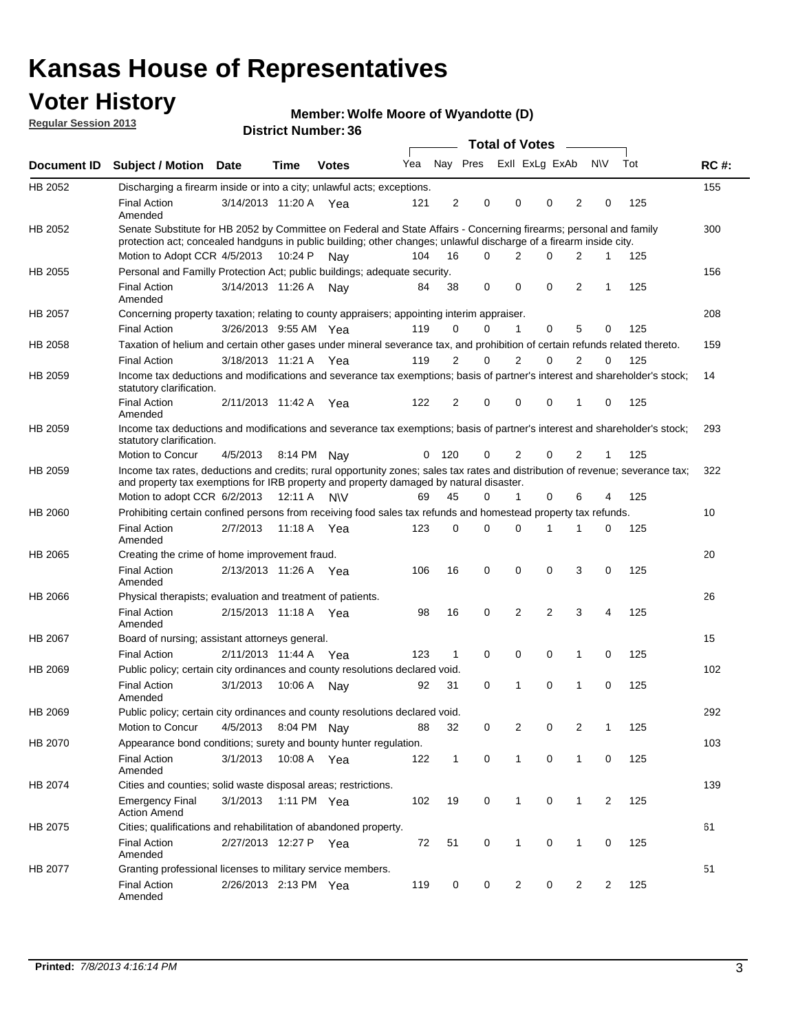## **Voter History**

**Member: Wolfe Moore of Wyandotte (D)** 

**Regular Session 2013**

|             |                                                                                                                                                                                                                                          |                       |             | טט. וסמוווטנו ועוווסו |     |                |          | <b>Total of Votes</b> |                | $\sim$         |                |             |     |             |
|-------------|------------------------------------------------------------------------------------------------------------------------------------------------------------------------------------------------------------------------------------------|-----------------------|-------------|-----------------------|-----|----------------|----------|-----------------------|----------------|----------------|----------------|-------------|-----|-------------|
| Document ID | <b>Subject / Motion Date</b>                                                                                                                                                                                                             |                       | <b>Time</b> | <b>Votes</b>          | Yea |                | Nay Pres |                       | Exll ExLg ExAb |                |                | <b>NV</b>   | Tot | <b>RC#:</b> |
| HB 2052     | Discharging a firearm inside or into a city; unlawful acts; exceptions.                                                                                                                                                                  |                       |             |                       |     |                |          |                       |                |                |                |             |     | 155         |
|             | <b>Final Action</b><br>Amended                                                                                                                                                                                                           | 3/14/2013 11:20 A Yea |             |                       | 121 | $\overline{2}$ | 0        |                       | 0              | 0              | $\overline{2}$ | 0           | 125 |             |
| HB 2052     | Senate Substitute for HB 2052 by Committee on Federal and State Affairs - Concerning firearms; personal and family<br>protection act; concealed handguns in public building; other changes; unlawful discharge of a firearm inside city. |                       |             |                       |     |                |          |                       |                |                |                |             |     | 300         |
|             | Motion to Adopt CCR 4/5/2013 10:24 P                                                                                                                                                                                                     |                       |             | Nav                   | 104 | 16             | $\Omega$ |                       | 2              | 0              | 2              | 1           | 125 |             |
| HB 2055     | Personal and Familly Protection Act; public buildings; adequate security.                                                                                                                                                                |                       |             |                       |     |                |          |                       |                |                |                |             |     | 156         |
|             | <b>Final Action</b><br>Amended                                                                                                                                                                                                           | 3/14/2013 11:26 A     |             | Nav                   | 84  | 38             | 0        |                       | 0              | 0              | 2              | 1           | 125 |             |
| HB 2057     | Concerning property taxation; relating to county appraisers; appointing interim appraiser.                                                                                                                                               |                       |             |                       |     |                |          |                       |                |                |                |             |     | 208         |
|             | <b>Final Action</b>                                                                                                                                                                                                                      | 3/26/2013 9:55 AM Yea |             |                       | 119 | 0              | 0        |                       | $\mathbf{1}$   | 0              | 5              | 0           | 125 |             |
| HB 2058     | Taxation of helium and certain other gases under mineral severance tax, and prohibition of certain refunds related thereto.                                                                                                              |                       |             |                       |     |                |          |                       |                |                |                |             |     | 159         |
|             | <b>Final Action</b>                                                                                                                                                                                                                      | 3/18/2013 11:21 A Yea |             |                       | 119 | 2              | 0        |                       | $\overline{2}$ | $\Omega$       | 2              | $\Omega$    | 125 |             |
| HB 2059     | Income tax deductions and modifications and severance tax exemptions; basis of partner's interest and shareholder's stock;<br>statutory clarification.                                                                                   |                       |             |                       |     |                |          |                       |                |                |                |             |     | 14          |
|             | <b>Final Action</b><br>Amended                                                                                                                                                                                                           | 2/11/2013 11:42 A     |             | Yea                   | 122 | 2              | 0        |                       | 0              | 0              | 1              | 0           | 125 |             |
| HB 2059     | Income tax deductions and modifications and severance tax exemptions; basis of partner's interest and shareholder's stock;<br>statutory clarification.                                                                                   |                       |             |                       |     |                |          |                       |                |                |                |             |     | 293         |
|             | Motion to Concur                                                                                                                                                                                                                         | 4/5/2013              | 8:14 PM     | Nav                   | 0   | - 120          | 0        |                       | 2              | 0              | $\overline{2}$ | 1           | 125 |             |
| HB 2059     | Income tax rates, deductions and credits; rural opportunity zones; sales tax rates and distribution of revenue; severance tax;<br>and property tax exemptions for IRB property and property damaged by natural disaster.                 |                       |             |                       |     |                |          |                       |                |                |                |             |     | 322         |
|             | Motion to adopt CCR 6/2/2013                                                                                                                                                                                                             |                       | 12:11 A     | <b>NV</b>             | 69  | 45             | 0        |                       | $\mathbf{1}$   | $\Omega$       | 6              | 4           | 125 |             |
| HB 2060     | Prohibiting certain confined persons from receiving food sales tax refunds and homestead property tax refunds.                                                                                                                           |                       |             |                       |     |                |          |                       |                |                |                |             |     | 10          |
|             | <b>Final Action</b><br>Amended                                                                                                                                                                                                           | 2/7/2013              | 11:18 A     | Yea                   | 123 | $\mathbf 0$    | 0        |                       | $\Omega$       | 1              | 1              | 0           | 125 |             |
| HB 2065     | Creating the crime of home improvement fraud.                                                                                                                                                                                            |                       |             |                       |     |                |          |                       |                |                |                |             |     | 20          |
|             | <b>Final Action</b><br>Amended                                                                                                                                                                                                           | 2/13/2013 11:26 A Yea |             |                       | 106 | 16             | 0        |                       | $\mathbf 0$    | 0              | 3              | 0           | 125 |             |
| HB 2066     | Physical therapists; evaluation and treatment of patients.                                                                                                                                                                               |                       |             |                       |     |                |          |                       |                |                |                |             |     | 26          |
|             | <b>Final Action</b><br>Amended                                                                                                                                                                                                           | 2/15/2013 11:18 A Yea |             |                       | 98  | 16             | 0        |                       | 2              | $\overline{2}$ | 3              | 4           | 125 |             |
| HB 2067     | Board of nursing; assistant attorneys general.                                                                                                                                                                                           |                       |             |                       |     |                |          |                       |                |                |                |             |     | 15          |
|             | <b>Final Action</b>                                                                                                                                                                                                                      | 2/11/2013 11:44 A Yea |             |                       | 123 | 1              | 0        |                       | 0              | 0              | 1              | 0           | 125 |             |
| HB 2069     | Public policy; certain city ordinances and county resolutions declared void.                                                                                                                                                             |                       |             |                       |     |                |          |                       |                |                |                |             |     | 102         |
|             | <b>Final Action</b><br>Amended                                                                                                                                                                                                           | 3/1/2013              | 10:06 A     | Nav                   | 92  | 31             | $\Omega$ |                       | 1              | $\Omega$       | 1              | $\mathbf 0$ | 125 |             |
| HB 2069     | Public policy; certain city ordinances and county resolutions declared void.                                                                                                                                                             |                       |             |                       |     |                |          |                       |                |                |                |             |     | 292         |
|             | <b>Motion to Concur</b>                                                                                                                                                                                                                  | 4/5/2013              |             | 8:04 PM Nay           | 88  | 32             | 0        |                       | 2              | 0              | $\overline{2}$ | 1           | 125 |             |
| HB 2070     | Appearance bond conditions; surety and bounty hunter regulation.                                                                                                                                                                         |                       |             |                       |     |                |          |                       |                |                |                |             |     | 103         |
|             | <b>Final Action</b><br>Amended                                                                                                                                                                                                           | 3/1/2013              |             | 10:08 A Yea           | 122 | $\mathbf{1}$   | 0        |                       | $\mathbf{1}$   | 0              | 1              | 0           | 125 |             |
| HB 2074     | Cities and counties; solid waste disposal areas; restrictions.                                                                                                                                                                           |                       |             |                       |     |                |          |                       |                |                |                |             |     | 139         |
|             | <b>Emergency Final</b><br><b>Action Amend</b>                                                                                                                                                                                            | 3/1/2013              |             | 1:11 PM Yea           | 102 | 19             | 0        |                       | 1              | 0              | 1              | 2           | 125 |             |
| HB 2075     | Cities; qualifications and rehabilitation of abandoned property.                                                                                                                                                                         |                       |             |                       |     |                |          |                       |                |                |                |             |     | 61          |
|             | <b>Final Action</b><br>Amended                                                                                                                                                                                                           | 2/27/2013 12:27 P     |             | Yea                   | 72  | 51             | 0        |                       | 1              | 0              | 1              | 0           | 125 |             |
| HB 2077     | Granting professional licenses to military service members.<br><b>Final Action</b><br>Amended                                                                                                                                            | 2/26/2013 2:13 PM Yea |             |                       | 119 | 0              | 0        |                       | $\overline{2}$ | 0              | $\overline{2}$ | 2           | 125 | 51          |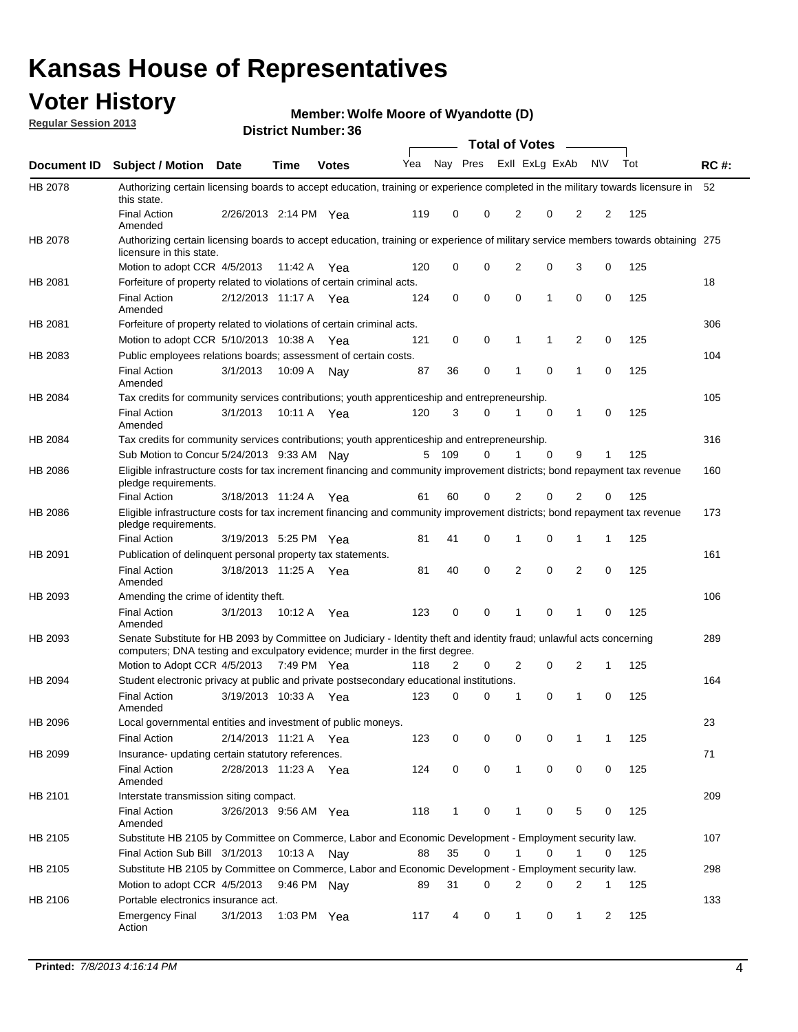## **Voter History**

**Member: Wolfe Moore of Wyandotte (D)** 

**Regular Session 2013**

|             |                                                                                                                                                                                                       |                       |             |              |     |              |             | <b>Total of Votes</b> |   | $\sim$ |           |     |             |
|-------------|-------------------------------------------------------------------------------------------------------------------------------------------------------------------------------------------------------|-----------------------|-------------|--------------|-----|--------------|-------------|-----------------------|---|--------|-----------|-----|-------------|
| Document ID | <b>Subject / Motion Date</b>                                                                                                                                                                          |                       | Time        | <b>Votes</b> | Yea | Nay Pres     |             | Exll ExLg ExAb        |   |        | <b>NV</b> | Tot | <b>RC#:</b> |
| HB 2078     | Authorizing certain licensing boards to accept education, training or experience completed in the military towards licensure in 52<br>this state.                                                     |                       |             |              |     |              |             |                       |   |        |           |     |             |
|             | <b>Final Action</b><br>Amended                                                                                                                                                                        | 2/26/2013 2:14 PM Yea |             |              | 119 | 0            | 0           | 2                     | 0 | 2      | 2         | 125 |             |
| HB 2078     | Authorizing certain licensing boards to accept education, training or experience of military service members towards obtaining 275<br>licensure in this state.                                        |                       |             |              |     |              |             |                       |   |        |           |     |             |
|             | Motion to adopt CCR 4/5/2013                                                                                                                                                                          |                       | 11:42 A     | Yea          | 120 | 0            | 0           | 2                     | 0 | 3      | 0         | 125 |             |
| HB 2081     | Forfeiture of property related to violations of certain criminal acts.                                                                                                                                |                       |             |              |     |              |             |                       |   |        |           |     | 18          |
|             | <b>Final Action</b><br>Amended                                                                                                                                                                        | 2/12/2013 11:17 A Yea |             |              | 124 | 0            | $\mathbf 0$ | 0                     | 1 | 0      | 0         | 125 |             |
| HB 2081     | Forfeiture of property related to violations of certain criminal acts.                                                                                                                                |                       |             |              |     |              |             |                       |   |        |           |     | 306         |
|             | Motion to adopt CCR 5/10/2013 10:38 A                                                                                                                                                                 |                       |             | Yea          | 121 | 0            | 0           | 1                     | 1 | 2      | 0         | 125 |             |
| HB 2083     | Public employees relations boards; assessment of certain costs.                                                                                                                                       |                       |             |              |     |              |             |                       |   |        |           |     | 104         |
|             | <b>Final Action</b><br>Amended                                                                                                                                                                        | 3/1/2013              | 10:09 A     | Nay          | 87  | 36           | 0           | 1                     | 0 | 1      | 0         | 125 |             |
| HB 2084     | Tax credits for community services contributions; youth apprenticeship and entrepreneurship.                                                                                                          |                       |             |              |     |              |             |                       |   |        |           |     | 105         |
|             | <b>Final Action</b><br>Amended                                                                                                                                                                        | 3/1/2013              | 10:11 A Yea |              | 120 | 3            | $\Omega$    | 1                     | 0 | 1      | 0         | 125 |             |
| HB 2084     | Tax credits for community services contributions; youth apprenticeship and entrepreneurship.                                                                                                          |                       |             |              |     |              |             |                       |   |        |           |     | 316         |
|             | Sub Motion to Concur 5/24/2013 9:33 AM                                                                                                                                                                |                       |             | Nav          | 5   | 109          | 0           |                       | 0 | 9      | 1         | 125 |             |
| HB 2086     | Eligible infrastructure costs for tax increment financing and community improvement districts; bond repayment tax revenue<br>pledge requirements.                                                     |                       |             |              |     |              |             |                       |   |        |           |     | 160         |
|             | <b>Final Action</b>                                                                                                                                                                                   | 3/18/2013 11:24 A     |             | Yea          | 61  | 60           | 0           | 2                     | 0 | 2      | 0         | 125 |             |
| HB 2086     | Eligible infrastructure costs for tax increment financing and community improvement districts; bond repayment tax revenue<br>pledge requirements.                                                     |                       |             |              |     |              |             |                       |   |        |           |     | 173         |
|             | <b>Final Action</b>                                                                                                                                                                                   | 3/19/2013 5:25 PM Yea |             |              | 81  | 41           | 0           | 1                     | 0 | 1      | 1         | 125 |             |
| HB 2091     | Publication of delinquent personal property tax statements.                                                                                                                                           |                       |             |              |     |              |             |                       |   |        |           |     | 161         |
|             | <b>Final Action</b><br>Amended                                                                                                                                                                        | 3/18/2013 11:25 A Yea |             |              | 81  | 40           | 0           | 2                     | 0 | 2      | 0         | 125 |             |
| HB 2093     | Amending the crime of identity theft.                                                                                                                                                                 |                       |             |              |     |              |             |                       |   |        |           |     | 106         |
|             | <b>Final Action</b><br>Amended                                                                                                                                                                        | 3/1/2013              | 10:12 A     | Yea          | 123 | 0            | 0           | 1                     | 0 | 1      | 0         | 125 |             |
| HB 2093     | Senate Substitute for HB 2093 by Committee on Judiciary - Identity theft and identity fraud; unlawful acts concerning<br>computers; DNA testing and exculpatory evidence; murder in the first degree. |                       |             |              |     |              |             |                       |   |        |           |     | 289         |
|             | Motion to Adopt CCR 4/5/2013 7:49 PM Yea                                                                                                                                                              |                       |             |              | 118 | 2            | 0           | 2                     | 0 | 2      | 1         | 125 |             |
| HB 2094     | Student electronic privacy at public and private postsecondary educational institutions.                                                                                                              |                       |             |              |     |              |             |                       |   |        |           |     | 164         |
|             | <b>Final Action</b><br>Amended                                                                                                                                                                        | 3/19/2013 10:33 A Yea |             |              | 123 | 0            | 0           |                       | 0 | 1      | 0         | 125 |             |
| HB 2096     | Local governmental entities and investment of public moneys.                                                                                                                                          |                       |             |              |     |              |             |                       |   |        |           |     | 23          |
|             | Final Action                                                                                                                                                                                          | 2/14/2013 11:21 A Yea |             |              | 123 | 0            | 0           | 0                     | 0 |        | 1         | 125 |             |
| HB 2099     | Insurance- updating certain statutory references.                                                                                                                                                     |                       |             |              |     |              |             |                       |   |        |           |     | 71          |
|             | <b>Final Action</b><br>Amended                                                                                                                                                                        | 2/28/2013 11:23 A Yea |             |              | 124 | 0            | 0           | $\mathbf{1}$          | 0 | 0      | 0         | 125 |             |
| HB 2101     | Interstate transmission siting compact.                                                                                                                                                               |                       |             |              |     |              |             |                       |   |        |           |     | 209         |
|             | <b>Final Action</b><br>Amended                                                                                                                                                                        | 3/26/2013 9:56 AM Yea |             |              | 118 | $\mathbf{1}$ | 0           | 1                     | 0 | 5      | 0         | 125 |             |
| HB 2105     | Substitute HB 2105 by Committee on Commerce, Labor and Economic Development - Employment security law.                                                                                                |                       |             |              |     |              |             |                       |   |        |           |     | 107         |
|             | Final Action Sub Bill 3/1/2013                                                                                                                                                                        |                       | 10:13 A     | Nav          | 88  | 35           | 0           | 1                     | 0 | 1      | 0         | 125 |             |
| HB 2105     | Substitute HB 2105 by Committee on Commerce, Labor and Economic Development - Employment security law.                                                                                                |                       |             |              |     |              |             |                       |   |        |           |     | 298         |
|             | Motion to adopt CCR 4/5/2013                                                                                                                                                                          |                       |             | 9:46 PM Nay  | 89  | 31           | 0           | 2                     | 0 | 2      | 1         | 125 |             |
| HB 2106     | Portable electronics insurance act.                                                                                                                                                                   |                       |             |              |     |              |             |                       |   |        |           |     | 133         |
|             | Emergency Final<br>Action                                                                                                                                                                             | 3/1/2013              |             | 1:03 PM Yea  | 117 | 4            | 0           | 1                     | 0 | 1      | 2         | 125 |             |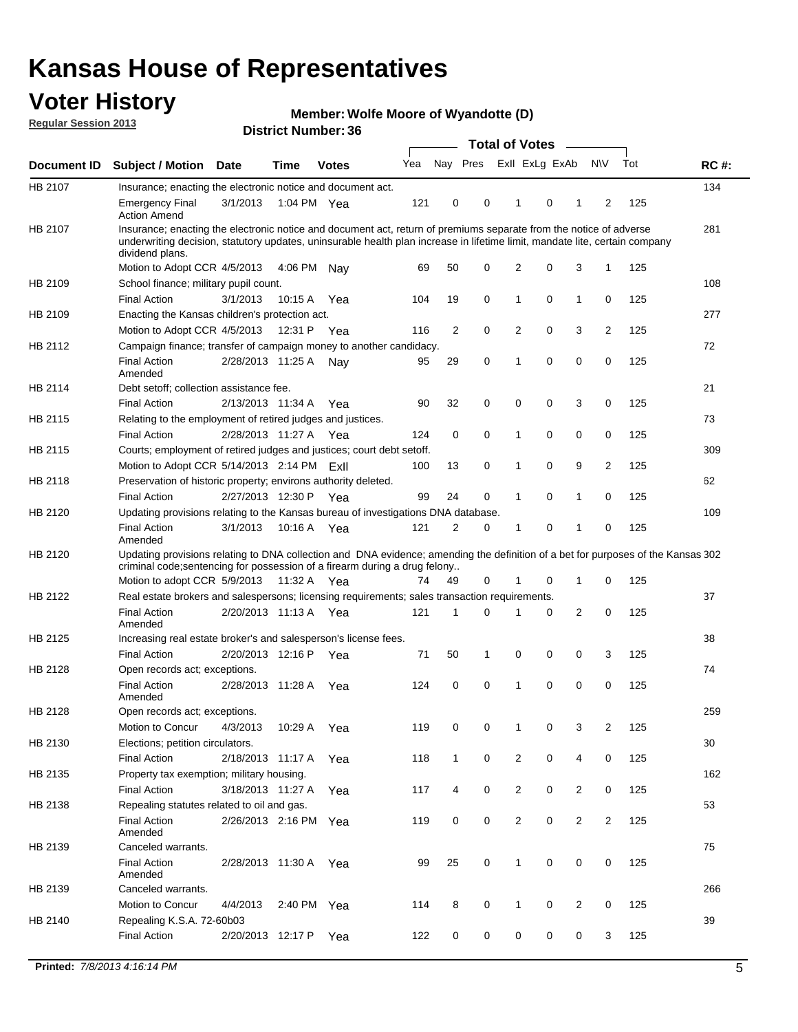## **Voter History**

**Member: Wolfe Moore of Wyandotte (D)** 

**Regular Session 2013**

|                    |                                                                                                                                                                                                                                                                      |                       |             | DISTILI MUIIIDEL JU |     |              |          | Total of Votes – |          |                |                |     |             |
|--------------------|----------------------------------------------------------------------------------------------------------------------------------------------------------------------------------------------------------------------------------------------------------------------|-----------------------|-------------|---------------------|-----|--------------|----------|------------------|----------|----------------|----------------|-----|-------------|
| <b>Document ID</b> | <b>Subject / Motion</b>                                                                                                                                                                                                                                              | <b>Date</b>           | <b>Time</b> | <b>Votes</b>        | Yea | Nay Pres     |          | Exll ExLg ExAb   |          |                | <b>NV</b>      | Tot | <b>RC#:</b> |
| HB 2107            | Insurance; enacting the electronic notice and document act.                                                                                                                                                                                                          |                       |             |                     |     |              |          |                  |          |                |                |     | 134         |
|                    | <b>Emergency Final</b><br><b>Action Amend</b>                                                                                                                                                                                                                        | 3/1/2013              |             | 1:04 PM Yea         | 121 | 0            | 0        | $\mathbf 1$      | 0        | 1              | 2              | 125 |             |
| HB 2107            | Insurance; enacting the electronic notice and document act, return of premiums separate from the notice of adverse<br>underwriting decision, statutory updates, uninsurable health plan increase in lifetime limit, mandate lite, certain company<br>dividend plans. |                       |             |                     |     |              |          |                  |          |                |                |     | 281         |
|                    | Motion to Adopt CCR 4/5/2013                                                                                                                                                                                                                                         |                       | 4:06 PM     | Nav                 | 69  | 50           | 0        | 2                | 0        | 3              | 1              | 125 |             |
| HB 2109            | School finance; military pupil count.                                                                                                                                                                                                                                |                       |             |                     |     |              |          |                  |          |                |                |     | 108         |
|                    | <b>Final Action</b>                                                                                                                                                                                                                                                  | 3/1/2013              | 10:15 A     | Yea                 | 104 | 19           | 0        | 1                | 0        | $\mathbf{1}$   | 0              | 125 |             |
| HB 2109            | Enacting the Kansas children's protection act.                                                                                                                                                                                                                       |                       |             |                     |     |              |          |                  |          |                |                |     | 277         |
|                    | Motion to Adopt CCR 4/5/2013                                                                                                                                                                                                                                         |                       |             | 12:31 P Yea         | 116 | 2            | 0        | 2                | 0        | 3              | 2              | 125 |             |
| HB 2112            | Campaign finance; transfer of campaign money to another candidacy.                                                                                                                                                                                                   |                       |             |                     |     |              |          |                  |          |                |                |     | 72          |
|                    | <b>Final Action</b><br>Amended                                                                                                                                                                                                                                       | 2/28/2013 11:25 A     |             | Nay                 | 95  | 29           | 0        | 1                | 0        | 0              | 0              | 125 |             |
| HB 2114            | Debt setoff; collection assistance fee.                                                                                                                                                                                                                              |                       |             |                     |     |              |          |                  |          |                |                |     | 21          |
|                    | <b>Final Action</b>                                                                                                                                                                                                                                                  | 2/13/2013 11:34 A     |             | Yea                 | 90  | 32           | 0        | 0                | 0        | 3              | 0              | 125 |             |
| HB 2115            | Relating to the employment of retired judges and justices.                                                                                                                                                                                                           |                       |             |                     |     |              |          |                  |          |                |                |     | 73          |
|                    | <b>Final Action</b>                                                                                                                                                                                                                                                  | 2/28/2013 11:27 A     |             | Yea                 | 124 | 0            | 0        | 1                | 0        | 0              | 0              | 125 |             |
| HB 2115            | Courts; employment of retired judges and justices; court debt setoff.                                                                                                                                                                                                |                       |             |                     |     |              |          |                  |          |                |                |     | 309         |
|                    | Motion to Adopt CCR 5/14/2013 2:14 PM ExII                                                                                                                                                                                                                           |                       |             |                     | 100 | 13           | 0        | 1                | 0        | 9              | $\overline{2}$ | 125 |             |
| HB 2118            | Preservation of historic property; environs authority deleted.                                                                                                                                                                                                       |                       |             |                     |     |              |          |                  |          |                |                |     | 62          |
|                    | <b>Final Action</b>                                                                                                                                                                                                                                                  | 2/27/2013 12:30 P     |             | Yea                 | 99  | 24           | 0        | 1                | 0        | 1              | 0              | 125 |             |
| HB 2120            | Updating provisions relating to the Kansas bureau of investigations DNA database.<br><b>Final Action</b>                                                                                                                                                             | 3/1/2013              | 10:16 A     | Yea                 | 121 | 2            | 0        | 1                | 0        | 1              | 0              | 125 | 109         |
|                    | Amended                                                                                                                                                                                                                                                              |                       |             |                     |     |              |          |                  |          |                |                |     |             |
| HB 2120            | Updating provisions relating to DNA collection and DNA evidence; amending the definition of a bet for purposes of the Kansas 302<br>criminal code; sentencing for possession of a firearm during a drug felony                                                       |                       |             |                     |     |              |          |                  |          |                |                |     |             |
|                    | Motion to adopt CCR 5/9/2013 11:32 A Yea                                                                                                                                                                                                                             |                       |             |                     | 74  | 49           | 0        |                  | 0        | 1              | 0              | 125 |             |
| HB 2122            | Real estate brokers and salespersons; licensing requirements; sales transaction requirements.                                                                                                                                                                        |                       |             |                     |     |              |          |                  |          |                |                |     | 37          |
|                    | <b>Final Action</b><br>Amended                                                                                                                                                                                                                                       | 2/20/2013 11:13 A     |             | Yea                 | 121 | 1            | $\Omega$ |                  | 0        | 2              | 0              | 125 |             |
| HB 2125            | Increasing real estate broker's and salesperson's license fees.                                                                                                                                                                                                      |                       |             |                     |     |              |          |                  |          |                |                |     | 38          |
|                    | <b>Final Action</b>                                                                                                                                                                                                                                                  | 2/20/2013 12:16 P     |             | Yea                 | 71  | 50           | 1        | 0                | 0        | 0              | 3              | 125 |             |
| HB 2128            | Open records act; exceptions.                                                                                                                                                                                                                                        |                       |             |                     |     |              |          |                  |          |                |                |     | 74          |
|                    | <b>Final Action</b><br>Amended                                                                                                                                                                                                                                       | 2/28/2013 11:28 A     |             | Yea                 | 124 | 0            | 0        | 1                | $\Omega$ | 0              | 0              | 125 |             |
| HB 2128            | Open records act; exceptions.                                                                                                                                                                                                                                        |                       |             |                     |     |              |          |                  |          |                |                |     | 259         |
|                    | Motion to Concur                                                                                                                                                                                                                                                     | 4/3/2013              | 10:29 A     | Yea                 | 119 | 0            | 0        |                  | 0        | 3              | 2              | 125 |             |
| HB 2130            | Elections; petition circulators.                                                                                                                                                                                                                                     |                       |             |                     |     |              |          |                  |          |                |                |     | 30          |
|                    | <b>Final Action</b>                                                                                                                                                                                                                                                  | 2/18/2013 11:17 A     |             | Yea                 | 118 | $\mathbf{1}$ | 0        | 2                | 0        | 4              | 0              | 125 |             |
| HB 2135            | Property tax exemption; military housing.                                                                                                                                                                                                                            |                       |             |                     |     |              |          |                  |          |                |                |     | 162         |
|                    | <b>Final Action</b>                                                                                                                                                                                                                                                  | 3/18/2013 11:27 A     |             | Yea                 | 117 | 4            | 0        | 2                | 0        | $\overline{2}$ | 0              | 125 |             |
| HB 2138            | Repealing statutes related to oil and gas.                                                                                                                                                                                                                           |                       |             |                     |     |              |          |                  |          |                |                |     | 53          |
|                    | <b>Final Action</b><br>Amended                                                                                                                                                                                                                                       | 2/26/2013 2:16 PM Yea |             |                     | 119 | 0            | 0        | 2                | 0        | $\overline{2}$ | 2              | 125 |             |
| HB 2139            | Canceled warrants.                                                                                                                                                                                                                                                   |                       |             |                     |     |              |          |                  |          |                |                |     | 75          |
|                    | <b>Final Action</b><br>Amended                                                                                                                                                                                                                                       | 2/28/2013 11:30 A     |             | Yea                 | 99  | 25           | 0        | 1                | 0        | 0              | 0              | 125 |             |
| HB 2139            | Canceled warrants.                                                                                                                                                                                                                                                   |                       |             |                     |     |              |          |                  |          |                |                |     | 266         |
|                    | Motion to Concur                                                                                                                                                                                                                                                     | 4/4/2013              | 2:40 PM     | Yea                 | 114 | 8            | 0        | 1                | 0        | 2              | 0              | 125 |             |
| HB 2140            | Repealing K.S.A. 72-60b03                                                                                                                                                                                                                                            |                       |             |                     |     |              |          |                  |          |                |                |     | 39          |
|                    | <b>Final Action</b>                                                                                                                                                                                                                                                  | 2/20/2013 12:17 P     |             | Yea                 | 122 | 0            | 0        | 0                | 0        | 0              | 3              | 125 |             |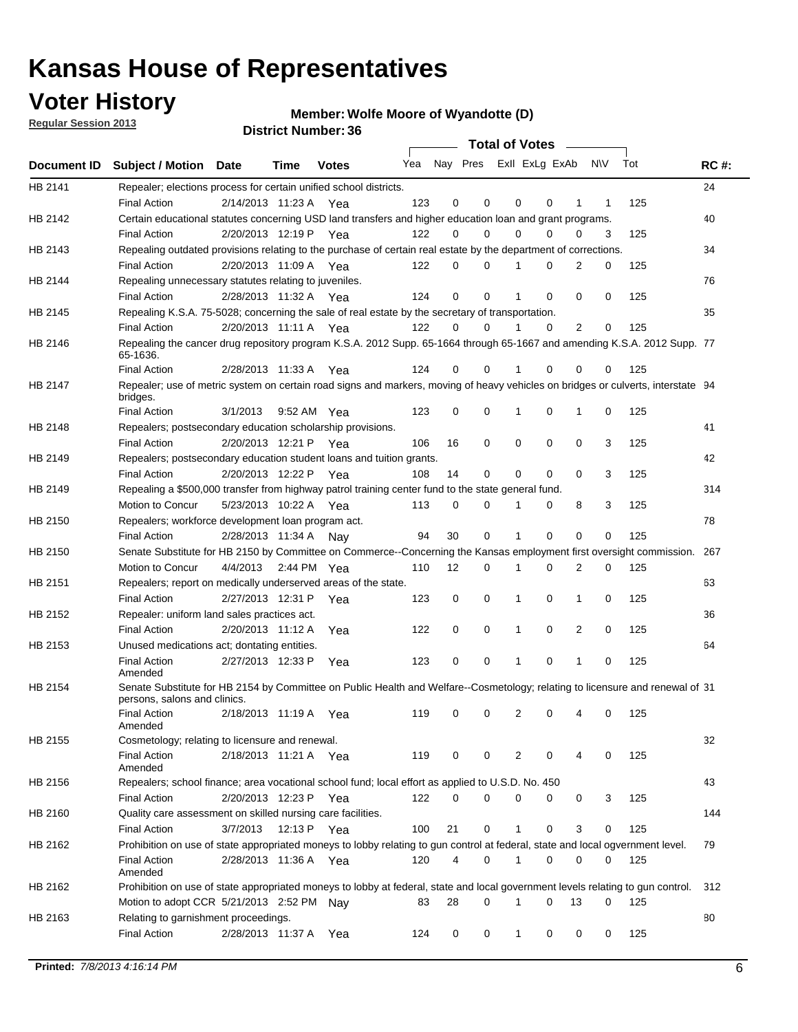## **Voter History**

**Member: Wolfe Moore of Wyandotte (D)** 

**Regular Session 2013**

|             |                                                                                                                                              |                       |             | טט. וסמוווטנו ועוווטכ |                             |             |   | Total of Votes – |          |                |           |     |             |
|-------------|----------------------------------------------------------------------------------------------------------------------------------------------|-----------------------|-------------|-----------------------|-----------------------------|-------------|---|------------------|----------|----------------|-----------|-----|-------------|
| Document ID | Subject / Motion Date                                                                                                                        |                       | <b>Time</b> | <b>Votes</b>          | Yea Nay Pres ExII ExLg ExAb |             |   |                  |          |                | <b>NV</b> | Tot | <b>RC#:</b> |
| HB 2141     | Repealer; elections process for certain unified school districts.                                                                            |                       |             |                       |                             | 0           | 0 |                  | 0        | 1              |           |     | 24          |
| HB 2142     | <b>Final Action</b>                                                                                                                          | 2/14/2013 11:23 A Yea |             |                       | 123                         |             |   | 0                |          |                | 1         | 125 |             |
|             | Certain educational statutes concerning USD land transfers and higher education loan and grant programs.<br><b>Final Action</b>              | 2/20/2013 12:19 P Yea |             |                       | 122                         | 0           | 0 | $\Omega$         | 0        | $\Omega$       | 3         | 125 | 40          |
| HB 2143     | Repealing outdated provisions relating to the purchase of certain real estate by the department of corrections.                              |                       |             |                       |                             |             |   |                  |          |                |           |     | 34          |
|             | <b>Final Action</b>                                                                                                                          | 2/20/2013 11:09 A Yea |             |                       | 122                         | 0           | 0 |                  | 0        | 2              | 0         | 125 |             |
| HB 2144     | Repealing unnecessary statutes relating to juveniles.                                                                                        |                       |             |                       |                             |             |   |                  |          |                |           |     | 76          |
|             | <b>Final Action</b>                                                                                                                          | 2/28/2013 11:32 A Yea |             |                       | 124                         | $\mathbf 0$ | 0 | 1                | 0        | $\Omega$       | 0         | 125 |             |
| HB 2145     | Repealing K.S.A. 75-5028; concerning the sale of real estate by the secretary of transportation.                                             |                       |             |                       |                             |             |   |                  |          |                |           |     | 35          |
|             | <b>Final Action</b>                                                                                                                          | 2/20/2013 11:11 A Yea |             |                       | 122                         | 0           | 0 |                  | $\Omega$ | $\overline{2}$ | 0         | 125 |             |
| HB 2146     | Repealing the cancer drug repository program K.S.A. 2012 Supp. 65-1664 through 65-1667 and amending K.S.A. 2012 Supp. 77                     |                       |             |                       |                             |             |   |                  |          |                |           |     |             |
|             | 65-1636.                                                                                                                                     |                       |             |                       |                             |             |   |                  |          |                |           |     |             |
|             | <b>Final Action</b>                                                                                                                          | 2/28/2013 11:33 A     |             | Yea                   | 124                         | 0           | 0 |                  | 0        | 0              | 0         | 125 |             |
| HB 2147     | Repealer; use of metric system on certain road signs and markers, moving of heavy vehicles on bridges or culverts, interstate 94<br>bridges. |                       |             |                       |                             |             |   |                  |          |                |           |     |             |
|             | <b>Final Action</b>                                                                                                                          | 3/1/2013              |             | 9:52 AM Yea           | 123                         | 0           | 0 |                  | 0        | 1              | 0         | 125 |             |
| HB 2148     | Repealers; postsecondary education scholarship provisions.                                                                                   |                       |             |                       |                             |             |   |                  |          |                |           |     | 41          |
|             | <b>Final Action</b>                                                                                                                          | 2/20/2013 12:21 P Yea |             |                       | 106                         | 16          | 0 | 0                | 0        | 0              | 3         | 125 |             |
| HB 2149     | Repealers; postsecondary education student loans and tuition grants.                                                                         |                       |             |                       |                             |             |   |                  |          |                |           |     | 42          |
|             | <b>Final Action</b>                                                                                                                          | 2/20/2013 12:22 P     |             | Yea                   | 108                         | 14          | 0 | 0                | 0        | 0              | 3         | 125 |             |
| HB 2149     | Repealing a \$500,000 transfer from highway patrol training center fund to the state general fund.                                           |                       |             |                       |                             |             |   |                  |          |                |           |     | 314         |
|             | Motion to Concur                                                                                                                             | 5/23/2013 10:22 A Yea |             |                       | 113                         | 0           | 0 | 1                | 0        | 8              | 3         | 125 |             |
| HB 2150     | Repealers; workforce development loan program act.                                                                                           |                       |             |                       |                             |             |   |                  |          |                |           |     | 78          |
|             | <b>Final Action</b>                                                                                                                          | 2/28/2013 11:34 A     |             | Nav                   | 94                          | 30          | 0 | 1                | 0        | 0              | 0         | 125 |             |
| HB 2150     | Senate Substitute for HB 2150 by Committee on Commerce--Concerning the Kansas employment first oversight commission.                         |                       |             |                       |                             |             |   |                  |          |                |           |     | 267         |
|             | Motion to Concur                                                                                                                             | 4/4/2013 2:44 PM Yea  |             |                       | 110                         | 12          | 0 | 1                | 0        | 2              | 0         | 125 |             |
| HB 2151     | Repealers; report on medically underserved areas of the state.                                                                               |                       |             |                       |                             |             |   |                  |          |                |           |     | 63          |
|             | <b>Final Action</b>                                                                                                                          | 2/27/2013 12:31 P     |             | Yea                   | 123                         | 0           | 0 | 1                | 0        | 1              | 0         | 125 |             |
| HB 2152     | Repealer: uniform land sales practices act.                                                                                                  |                       |             |                       |                             |             |   |                  |          |                |           |     | 36          |
| HB 2153     | <b>Final Action</b><br>Unused medications act; dontating entities.                                                                           | 2/20/2013 11:12 A     |             | Yea                   | 122                         | 0           | 0 | 1                | 0        | 2              | 0         | 125 | 64          |
|             | <b>Final Action</b>                                                                                                                          | 2/27/2013 12:33 P     |             |                       | 123                         | 0           | 0 | 1                | 0        | 1              | 0         | 125 |             |
|             | Amended                                                                                                                                      |                       |             | Yea                   |                             |             |   |                  |          |                |           |     |             |
| HB 2154     | Senate Substitute for HB 2154 by Committee on Public Health and Welfare--Cosmetology; relating to licensure and renewal of 31                |                       |             |                       |                             |             |   |                  |          |                |           |     |             |
|             | persons, salons and clinics.                                                                                                                 |                       |             |                       |                             |             |   |                  |          |                |           |     |             |
|             | Final Action<br>Amended                                                                                                                      | 2/18/2013 11:19 A Yea |             |                       | 119                         | 0           | 0 | 2                | 0        | 4              | 0         | 125 |             |
| HB 2155     | Cosmetology; relating to licensure and renewal.                                                                                              |                       |             |                       |                             |             |   |                  |          |                |           |     | 32          |
|             | <b>Final Action</b>                                                                                                                          | 2/18/2013 11:21 A Yea |             |                       | 119                         | 0           | 0 | 2                | 0        | 4              | 0         | 125 |             |
|             | Amended                                                                                                                                      |                       |             |                       |                             |             |   |                  |          |                |           |     |             |
| HB 2156     | Repealers; school finance; area vocational school fund; local effort as applied to U.S.D. No. 450                                            |                       |             |                       |                             |             |   |                  |          |                |           |     | 43          |
|             | <b>Final Action</b>                                                                                                                          | 2/20/2013 12:23 P     |             | Yea                   | 122                         | 0           | 0 | 0                | 0        | 0              | 3         | 125 |             |
| HB 2160     | Quality care assessment on skilled nursing care facilities.                                                                                  |                       |             |                       |                             |             |   |                  |          |                |           |     | 144         |
|             | <b>Final Action</b>                                                                                                                          | 3/7/2013              | 12:13 P     | Yea                   | 100                         | 21          | 0 | 1                | 0        | 3              | 0         | 125 |             |
| HB 2162     | Prohibition on use of state appropriated moneys to lobby relating to gun control at federal, state and local ogvernment level.               |                       |             |                       |                             |             |   |                  |          |                |           |     | 79          |
|             | <b>Final Action</b><br>Amended                                                                                                               | 2/28/2013 11:36 A Yea |             |                       | 120                         | 4           | 0 | 1                | 0        | 0              | 0         | 125 |             |
| HB 2162     | Prohibition on use of state appropriated moneys to lobby at federal, state and local government levels relating to gun control.              |                       |             |                       |                             |             |   |                  |          |                |           |     | 312         |
|             | Motion to adopt CCR 5/21/2013 2:52 PM Nay                                                                                                    |                       |             |                       | 83                          | 28          | 0 | 1                | 0        | 13             | 0         | 125 |             |
| HB 2163     | Relating to garnishment proceedings.                                                                                                         |                       |             |                       |                             |             |   |                  |          |                |           |     | 80          |
|             | <b>Final Action</b>                                                                                                                          | 2/28/2013 11:37 A     |             | Yea                   | 124                         | 0           | 0 | 1                | 0        | 0              | 0         | 125 |             |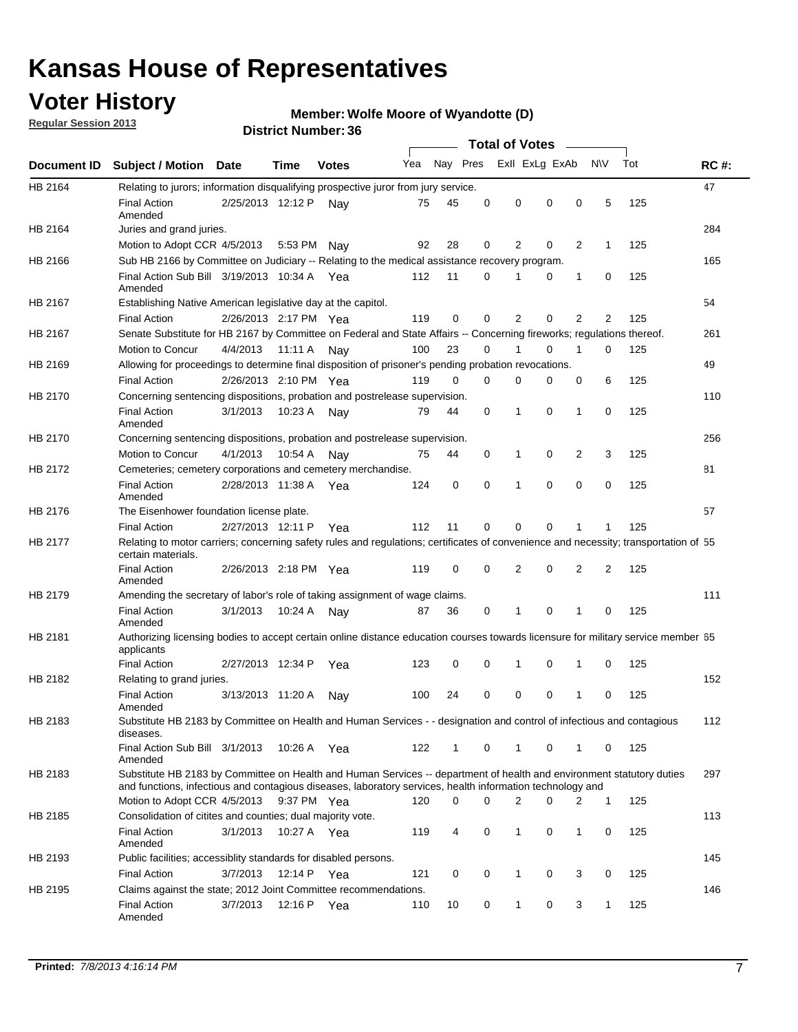## **Voter History**

**Member: Wolfe Moore of Wyandotte (D)** 

**Regular Session 2013**

|                |                                                                                                                                                                                                                                    |                       |             |              |     |          |          | <b>Total of Votes</b> |   |                |              |     |             |
|----------------|------------------------------------------------------------------------------------------------------------------------------------------------------------------------------------------------------------------------------------|-----------------------|-------------|--------------|-----|----------|----------|-----------------------|---|----------------|--------------|-----|-------------|
| Document ID    | <b>Subject / Motion Date</b>                                                                                                                                                                                                       |                       | Time        | <b>Votes</b> | Yea | Nay Pres |          | Exll ExLg ExAb        |   |                | <b>NV</b>    | Tot | <b>RC#:</b> |
| <b>HB 2164</b> | Relating to jurors; information disqualifying prospective juror from jury service.                                                                                                                                                 |                       |             |              |     |          |          |                       |   |                |              |     | 47          |
|                | <b>Final Action</b><br>Amended                                                                                                                                                                                                     | 2/25/2013 12:12 P     |             | Nav          | 75  | 45       | 0        | 0                     | 0 | 0              | 5            | 125 |             |
| HB 2164        | Juries and grand juries.                                                                                                                                                                                                           |                       |             |              |     | 28       | 0        |                       | 0 | 2              | $\mathbf{1}$ | 125 | 284         |
|                | Motion to Adopt CCR 4/5/2013                                                                                                                                                                                                       |                       | 5:53 PM     | Nav          | 92  |          |          | 2                     |   |                |              |     |             |
| HB 2166        | Sub HB 2166 by Committee on Judiciary -- Relating to the medical assistance recovery program.                                                                                                                                      |                       |             |              |     |          |          |                       |   |                |              |     | 165         |
|                | Final Action Sub Bill 3/19/2013 10:34 A Yea<br>Amended                                                                                                                                                                             |                       |             |              | 112 | 11       | 0        |                       | 0 | 1              | 0            | 125 |             |
| HB 2167        | Establishing Native American legislative day at the capitol.                                                                                                                                                                       |                       |             |              |     |          |          |                       |   |                |              |     | 54          |
|                | <b>Final Action</b>                                                                                                                                                                                                                | 2/26/2013 2:17 PM Yea |             |              | 119 | 0        | 0        | 2                     | 0 | $\overline{2}$ | 2            | 125 |             |
| HB 2167        | Senate Substitute for HB 2167 by Committee on Federal and State Affairs -- Concerning fireworks; regulations thereof.                                                                                                              |                       |             |              |     |          |          |                       |   |                |              |     | 261         |
|                | Motion to Concur                                                                                                                                                                                                                   | 4/4/2013 11:11 A Nay  |             |              | 100 | 23       | $\Omega$ |                       | 0 | 1              | $\Omega$     | 125 |             |
| HB 2169        | Allowing for proceedings to determine final disposition of prisoner's pending probation revocations.                                                                                                                               |                       |             |              |     |          |          |                       |   |                |              |     | 49          |
|                | <b>Final Action</b>                                                                                                                                                                                                                | 2/26/2013 2:10 PM Yea |             |              | 119 | $\Omega$ | $\Omega$ | 0                     | 0 | 0              | 6            | 125 |             |
| HB 2170        | Concerning sentencing dispositions, probation and postrelease supervision.                                                                                                                                                         |                       |             |              |     |          |          |                       |   |                |              |     | 110         |
|                | <b>Final Action</b><br>Amended                                                                                                                                                                                                     | 3/1/2013              |             | 10:23 A Nay  | 79  | 44       | 0        | 1                     | 0 | $\mathbf{1}$   | 0            | 125 |             |
| HB 2170        | Concerning sentencing dispositions, probation and postrelease supervision.                                                                                                                                                         |                       |             |              |     |          |          |                       |   |                |              |     | 256         |
|                | Motion to Concur                                                                                                                                                                                                                   | 4/1/2013              | 10:54 A     | Nav          | 75  | 44       | 0        | 1                     | 0 | 2              | 3            | 125 |             |
| HB 2172        | Cemeteries; cemetery corporations and cemetery merchandise.                                                                                                                                                                        |                       |             |              |     |          |          |                       |   |                |              |     | 81          |
|                | <b>Final Action</b><br>Amended                                                                                                                                                                                                     | 2/28/2013 11:38 A     |             | Yea          | 124 | 0        | 0        | 1                     | 0 | 0              | 0            | 125 |             |
| HB 2176        | The Eisenhower foundation license plate.                                                                                                                                                                                           |                       |             |              |     |          |          |                       |   |                |              |     | 57          |
|                | <b>Final Action</b>                                                                                                                                                                                                                | 2/27/2013 12:11 P     |             | Yea          | 112 | 11       | 0        | 0                     | 0 |                |              | 125 |             |
| HB 2177        | Relating to motor carriers; concerning safety rules and regulations; certificates of convenience and necessity; transportation of 55<br>certain materials.                                                                         |                       |             |              |     |          |          |                       |   |                |              |     |             |
|                | <b>Final Action</b><br>Amended                                                                                                                                                                                                     | 2/26/2013 2:18 PM Yea |             |              | 119 | 0        | 0        | 2                     | 0 | 2              | 2            | 125 |             |
| HB 2179        | Amending the secretary of labor's role of taking assignment of wage claims.                                                                                                                                                        |                       |             |              |     |          |          |                       |   |                |              |     | 111         |
|                | <b>Final Action</b><br>Amended                                                                                                                                                                                                     | 3/1/2013              | 10:24 A     | Nav          | 87  | 36       | 0        | 1                     | 0 | 1              | 0            | 125 |             |
| HB 2181        | Authorizing licensing bodies to accept certain online distance education courses towards licensure for military service member 55<br>applicants                                                                                    |                       |             |              |     |          |          |                       |   |                |              |     |             |
|                | <b>Final Action</b>                                                                                                                                                                                                                | 2/27/2013 12:34 P     |             | Yea          | 123 | 0        | 0        | 1                     | 0 | 1              | 0            | 125 |             |
| HB 2182        | Relating to grand juries.                                                                                                                                                                                                          |                       |             |              |     |          |          |                       |   |                |              |     | 152         |
|                | <b>Final Action</b><br>Amended                                                                                                                                                                                                     | 3/13/2013 11:20 A     |             | Nav          | 100 | 24       | 0        | 0                     | 0 | 1              | 0            | 125 |             |
| HB 2183        | Substitute HB 2183 by Committee on Health and Human Services - - designation and control of infectious and contagious<br>diseases.                                                                                                 |                       |             |              |     |          |          |                       |   |                |              |     | 112         |
|                | Final Action Sub Bill 3/1/2013<br>Amended                                                                                                                                                                                          |                       |             | 10:26 A Yea  | 122 | 1        | 0        | $\mathbf{1}$          | 0 | 1              | 0            | 125 |             |
| HB 2183        | Substitute HB 2183 by Committee on Health and Human Services -- department of health and environment statutory duties<br>and functions, infectious and contagious diseases, laboratory services, health information technology and |                       |             |              |     |          |          |                       |   |                |              |     | 297         |
|                | Motion to Adopt CCR 4/5/2013                                                                                                                                                                                                       |                       |             | 9:37 PM Yea  | 120 | 0        | $\Omega$ | 2                     | 0 | 2              | $\mathbf{1}$ | 125 |             |
| HB 2185        | Consolidation of citites and counties; dual majority vote.                                                                                                                                                                         |                       |             |              |     |          |          |                       |   |                |              |     | 113         |
|                | <b>Final Action</b><br>Amended                                                                                                                                                                                                     | 3/1/2013              |             | 10:27 A Yea  | 119 | 4        | 0        | 1                     | 0 | 1              | 0            | 125 |             |
| HB 2193        | Public facilities; accessiblity standards for disabled persons.                                                                                                                                                                    |                       |             |              |     |          |          |                       |   |                |              |     | 145         |
|                | <b>Final Action</b>                                                                                                                                                                                                                | 3/7/2013              | 12:14 P Yea |              | 121 | 0        | 0        | 1                     | 0 | 3              | 0            | 125 |             |
| HB 2195        | Claims against the state; 2012 Joint Committee recommendations.                                                                                                                                                                    |                       |             |              |     |          |          |                       |   |                |              |     | 146         |
|                | <b>Final Action</b><br>Amended                                                                                                                                                                                                     | 3/7/2013              | 12:16 P Yea |              | 110 | 10       | 0        | $\mathbf{1}$          | 0 | 3              | $\mathbf{1}$ | 125 |             |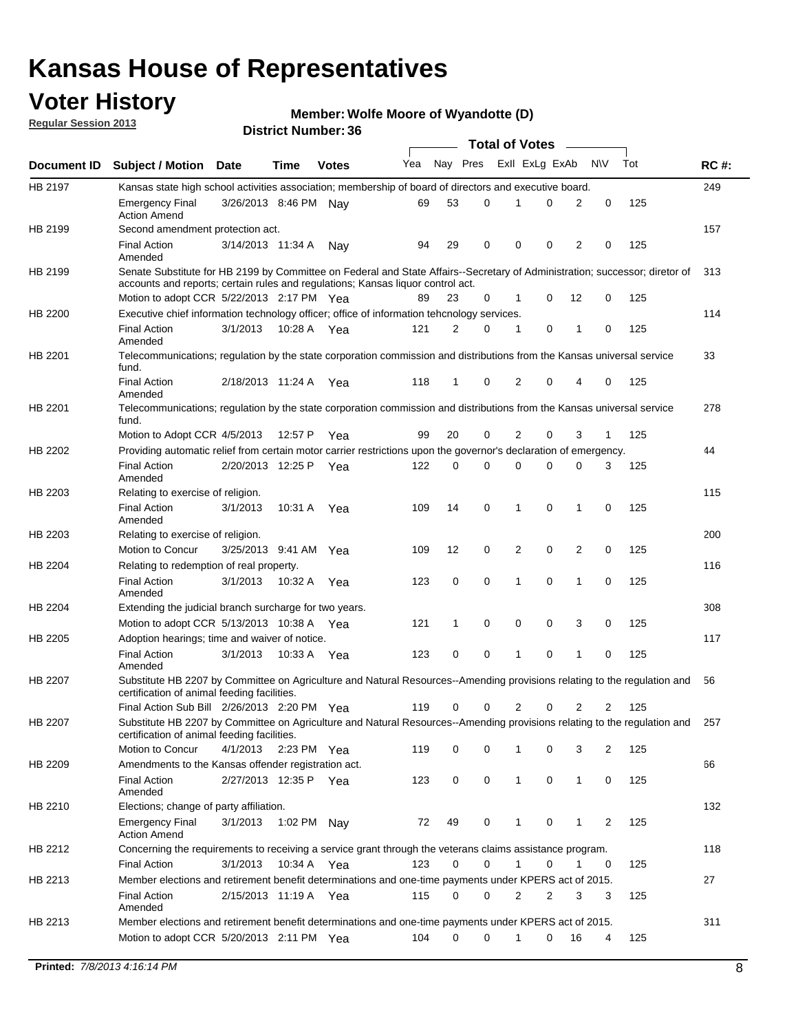## **Voter History**

**Member: Wolfe Moore of Wyandotte (D)** 

**Regular Session 2013**

|             |                                                                                                                                                                                                                |                       |             |              |     |              |             | <b>Total of Votes</b> |             | $\overline{\phantom{a}}$ |           |     |             |
|-------------|----------------------------------------------------------------------------------------------------------------------------------------------------------------------------------------------------------------|-----------------------|-------------|--------------|-----|--------------|-------------|-----------------------|-------------|--------------------------|-----------|-----|-------------|
| Document ID | <b>Subject / Motion Date</b>                                                                                                                                                                                   |                       | Time        | <b>Votes</b> | Yea | Nay Pres     |             | Exll ExLg ExAb        |             |                          | <b>NV</b> | Tot | <b>RC#:</b> |
| HB 2197     | Kansas state high school activities association; membership of board of directors and executive board.                                                                                                         |                       |             |              |     |              |             |                       |             |                          |           |     | 249         |
|             | Emergency Final<br><b>Action Amend</b>                                                                                                                                                                         | 3/26/2013 8:46 PM     |             | Nav          | 69  | 53           | 0           |                       | 0           | 2                        | 0         | 125 |             |
| HB 2199     | Second amendment protection act.                                                                                                                                                                               |                       |             |              |     |              |             |                       |             |                          |           |     | 157         |
|             | <b>Final Action</b><br>Amended                                                                                                                                                                                 | 3/14/2013 11:34 A     |             | Nay          | 94  | 29           | 0           | 0                     | 0           | 2                        | 0         | 125 |             |
| HB 2199     | Senate Substitute for HB 2199 by Committee on Federal and State Affairs--Secretary of Administration; successor; diretor of<br>accounts and reports; certain rules and regulations; Kansas liquor control act. |                       |             |              |     |              |             |                       |             |                          |           |     | 313         |
|             | Motion to adopt CCR 5/22/2013 2:17 PM Yea                                                                                                                                                                      |                       |             |              | 89  | 23           | 0           | 1                     | 0           | 12                       | 0         | 125 |             |
| HB 2200     | Executive chief information technology officer; office of information tehcnology services.                                                                                                                     |                       |             |              |     |              |             |                       |             |                          |           |     | 114         |
|             | <b>Final Action</b><br>Amended                                                                                                                                                                                 | 3/1/2013              | 10:28 A     | Yea          | 121 | 2            | 0           | 1                     | 0           | 1                        | 0         | 125 |             |
| HB 2201     | Telecommunications; regulation by the state corporation commission and distributions from the Kansas universal service<br>fund.                                                                                |                       |             |              |     |              |             |                       |             |                          |           |     | 33          |
|             | <b>Final Action</b><br>Amended                                                                                                                                                                                 | 2/18/2013 11:24 A Yea |             |              | 118 | 1            | 0           | 2                     | 0           | 4                        | 0         | 125 |             |
| HB 2201     | Telecommunications; regulation by the state corporation commission and distributions from the Kansas universal service<br>fund.                                                                                |                       |             |              |     |              |             |                       |             |                          |           |     | 278         |
|             | Motion to Adopt CCR 4/5/2013                                                                                                                                                                                   |                       | 12:57 P     | Yea          | 99  | 20           | 0           | 2                     | 0           | 3                        | 1         | 125 |             |
| HB 2202     | Providing automatic relief from certain motor carrier restrictions upon the governor's declaration of emergency.                                                                                               |                       |             |              |     |              |             |                       |             |                          |           |     | 44          |
|             | <b>Final Action</b><br>Amended                                                                                                                                                                                 | 2/20/2013 12:25 P     |             | Yea          | 122 | 0            | $\Omega$    | 0                     | 0           | 0                        | 3         | 125 |             |
| HB 2203     | Relating to exercise of religion.                                                                                                                                                                              |                       |             |              |     |              |             |                       |             |                          |           |     | 115         |
|             | <b>Final Action</b><br>Amended                                                                                                                                                                                 | 3/1/2013              | 10:31 A     | Yea          | 109 | 14           | 0           | 1                     | 0           | 1                        | 0         | 125 |             |
| HB 2203     | Relating to exercise of religion.                                                                                                                                                                              |                       |             |              |     |              |             |                       |             |                          |           |     | 200         |
|             | Motion to Concur                                                                                                                                                                                               | 3/25/2013 9:41 AM     |             | Yea          | 109 | 12           | 0           | 2                     | 0           | 2                        | 0         | 125 |             |
| HB 2204     | Relating to redemption of real property.                                                                                                                                                                       |                       |             |              |     |              |             |                       |             |                          |           |     | 116         |
|             | <b>Final Action</b><br>Amended                                                                                                                                                                                 | 3/1/2013              | 10:32 A     | Yea          | 123 | 0            | $\mathbf 0$ | 1                     | 0           | 1                        | 0         | 125 |             |
| HB 2204     | Extending the judicial branch surcharge for two years.                                                                                                                                                         |                       |             |              |     |              |             |                       |             |                          |           |     | 308         |
|             | Motion to adopt CCR 5/13/2013 10:38 A Yea                                                                                                                                                                      |                       |             |              | 121 | $\mathbf{1}$ | 0           | 0                     | 0           | 3                        | 0         | 125 |             |
| HB 2205     | Adoption hearings; time and waiver of notice.                                                                                                                                                                  |                       |             |              |     |              |             |                       |             |                          |           |     | 117         |
|             | <b>Final Action</b><br>Amended                                                                                                                                                                                 | 3/1/2013              | 10:33 A Yea |              | 123 | 0            | 0           | 1                     | 0           | 1                        | 0         | 125 |             |
| HB 2207     | Substitute HB 2207 by Committee on Agriculture and Natural Resources--Amending provisions relating to the regulation and<br>certification of animal feeding facilities.                                        |                       |             |              |     |              |             |                       |             |                          |           |     | 56          |
|             | Final Action Sub Bill 2/26/2013 2:20 PM Yea                                                                                                                                                                    |                       |             |              | 119 | 0            | 0           | 2                     | 0           | 2                        | 2         | 125 |             |
| HB 2207     | Substitute HB 2207 by Committee on Agriculture and Natural Resources--Amending provisions relating to the regulation and 257<br>certification of animal feeding facilities.                                    |                       |             |              |     |              |             |                       |             |                          |           |     |             |
|             | Motion to Concur                                                                                                                                                                                               | 4/1/2013              | 2:23 PM Yea |              | 119 | 0            | 0           | 1                     | 0           | 3                        | 2         | 125 |             |
| HB 2209     | Amendments to the Kansas offender registration act.                                                                                                                                                            |                       |             |              |     |              |             |                       |             |                          |           |     | 66          |
|             | <b>Final Action</b><br>Amended                                                                                                                                                                                 | 2/27/2013 12:35 P Yea |             |              | 123 | 0            | 0           | $\mathbf{1}$          | $\mathbf 0$ | $\mathbf{1}$             | 0         | 125 |             |
| HB 2210     | Elections; change of party affiliation.                                                                                                                                                                        |                       |             |              |     |              |             |                       |             |                          |           |     | 132         |
|             | <b>Emergency Final</b><br><b>Action Amend</b>                                                                                                                                                                  | 3/1/2013              |             | 1:02 PM Nay  | 72  | 49           | 0           | 1                     | 0           | 1                        | 2         | 125 |             |
| HB 2212     | Concerning the requirements to receiving a service grant through the veterans claims assistance program.                                                                                                       |                       |             |              |     |              |             |                       |             |                          |           |     | 118         |
|             | <b>Final Action</b>                                                                                                                                                                                            | 3/1/2013              |             | 10:34 A Yea  | 123 | 0            | 0           | $\mathbf{1}$          | 0           | $\mathbf{1}$             | 0         | 125 |             |
| HB 2213     | Member elections and retirement benefit determinations and one-time payments under KPERS act of 2015.<br><b>Final Action</b>                                                                                   | 2/15/2013 11:19 A Yea |             |              | 115 | 0            | 0           | 2                     | 2           | 3                        | 3         | 125 | 27          |
|             | Amended                                                                                                                                                                                                        |                       |             |              |     |              |             |                       |             |                          |           |     |             |
| HB 2213     | Member elections and retirement benefit determinations and one-time payments under KPERS act of 2015.<br>Motion to adopt CCR 5/20/2013 2:11 PM Yea                                                             |                       |             |              | 104 | 0            | 0           | 1                     | 0           | 16                       | 4         | 125 | 311         |
|             |                                                                                                                                                                                                                |                       |             |              |     |              |             |                       |             |                          |           |     |             |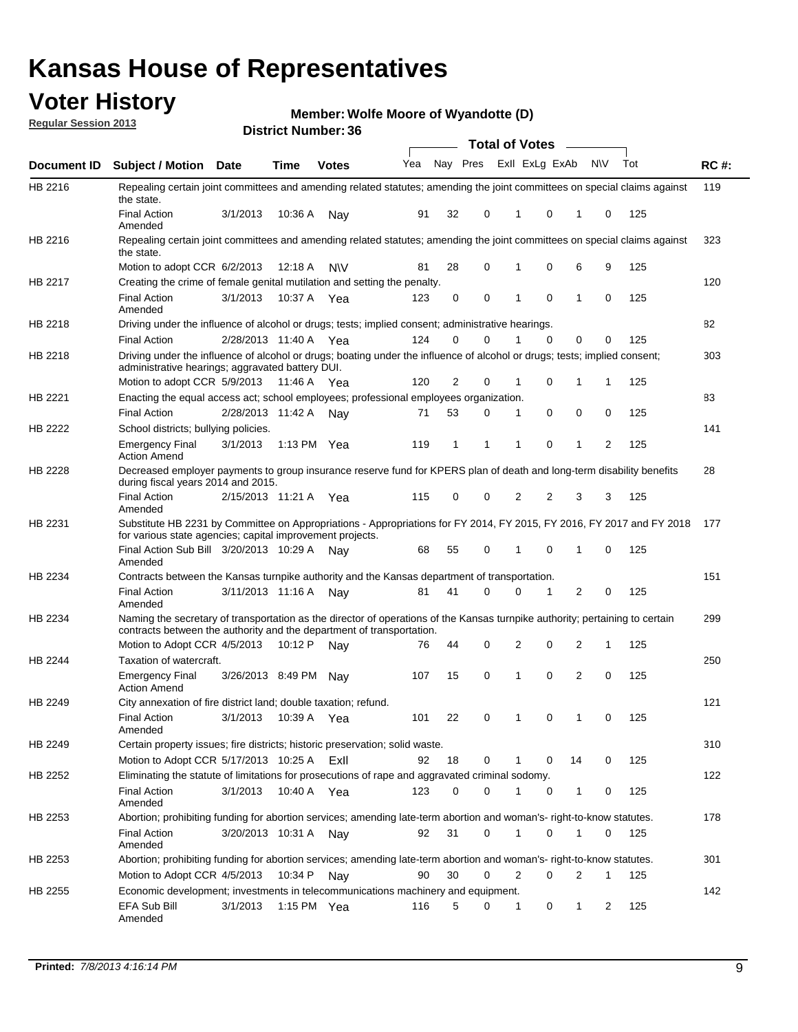## **Voter History**

**Member: Wolfe Moore of Wyandotte (D)** 

**Regular Session 2013**

|                |                                                                                                                                                                                                       |                       |             | DISTILITY MUILING 1. 30 |     |                |   |          | Total of Votes – |    |           |     |             |
|----------------|-------------------------------------------------------------------------------------------------------------------------------------------------------------------------------------------------------|-----------------------|-------------|-------------------------|-----|----------------|---|----------|------------------|----|-----------|-----|-------------|
| Document ID    | <b>Subject / Motion Date</b>                                                                                                                                                                          |                       | <b>Time</b> | <b>Votes</b>            | Yea | Nay Pres       |   |          | Exll ExLg ExAb   |    | <b>NV</b> | Tot | <b>RC#:</b> |
| HB 2216        | Repealing certain joint committees and amending related statutes; amending the joint committees on special claims against<br>the state.                                                               |                       |             |                         |     |                |   |          |                  |    |           |     | 119         |
|                | <b>Final Action</b><br>Amended                                                                                                                                                                        | 3/1/2013              | 10:36 A     | Nay                     | 91  | 32             | 0 | 1        | 0                | 1  | 0         | 125 |             |
| HB 2216        | Repealing certain joint committees and amending related statutes; amending the joint committees on special claims against<br>the state.                                                               |                       |             |                         |     |                |   |          |                  |    |           |     | 323         |
|                | Motion to adopt CCR 6/2/2013                                                                                                                                                                          |                       | 12:18 A     | <b>NV</b>               | 81  | 28             | 0 | 1        | 0                | 6  | 9         | 125 |             |
| HB 2217        | Creating the crime of female genital mutilation and setting the penalty.                                                                                                                              |                       |             |                         |     |                |   |          |                  |    |           |     | 120         |
|                | <b>Final Action</b><br>Amended                                                                                                                                                                        | 3/1/2013              |             | 10:37 A Yea             | 123 | 0              | 0 | 1        | 0                | 1  | 0         | 125 |             |
| HB 2218        | Driving under the influence of alcohol or drugs; tests; implied consent; administrative hearings.                                                                                                     |                       |             |                         |     |                |   |          |                  |    |           |     | 82          |
|                | <b>Final Action</b>                                                                                                                                                                                   | 2/28/2013 11:40 A     |             | Yea                     | 124 | 0              | 0 |          | $\Omega$         | 0  | 0         | 125 |             |
| HB 2218        | Driving under the influence of alcohol or drugs; boating under the influence of alcohol or drugs; tests; implied consent;<br>administrative hearings; aggravated battery DUI.                         |                       |             |                         |     |                |   |          |                  |    |           |     | 303         |
|                | Motion to adopt CCR 5/9/2013                                                                                                                                                                          |                       | 11:46 A     | Yea                     | 120 | $\overline{2}$ | 0 | 1        | 0                | 1  | 1         | 125 |             |
| HB 2221        | Enacting the equal access act; school employees; professional employees organization.                                                                                                                 |                       |             |                         |     |                |   |          |                  |    |           |     | 83          |
|                | <b>Final Action</b>                                                                                                                                                                                   | 2/28/2013 11:42 A     |             | Nav                     | 71  | 53             | 0 | 1        | 0                | 0  | 0         | 125 |             |
| HB 2222        | School districts; bullying policies.                                                                                                                                                                  |                       |             |                         |     |                |   |          |                  |    |           |     | 141         |
|                | <b>Emergency Final</b><br><b>Action Amend</b>                                                                                                                                                         | 3/1/2013              |             | 1:13 PM $Yea$           | 119 | 1              | 1 | 1        | 0                | 1  | 2         | 125 |             |
| HB 2228        | Decreased employer payments to group insurance reserve fund for KPERS plan of death and long-term disability benefits<br>during fiscal years 2014 and 2015.                                           |                       |             |                         |     |                |   |          |                  |    |           |     | 28          |
|                | <b>Final Action</b><br>Amended                                                                                                                                                                        | 2/15/2013 11:21 A     |             | Yea                     | 115 | 0              | 0 | 2        | 2                | 3  | 3         | 125 |             |
| HB 2231        | Substitute HB 2231 by Committee on Appropriations - Appropriations for FY 2014, FY 2015, FY 2016, FY 2017 and FY 2018<br>for various state agencies; capital improvement projects.                    |                       |             |                         |     |                |   |          |                  |    |           |     | 177         |
|                | Final Action Sub Bill 3/20/2013 10:29 A<br>Amended                                                                                                                                                    |                       |             | Nav                     | 68  | 55             | 0 |          | 0                | 1  | 0         | 125 |             |
| HB 2234        | Contracts between the Kansas turnpike authority and the Kansas department of transportation.                                                                                                          |                       |             |                         |     |                |   |          |                  |    |           |     | 151         |
|                | <b>Final Action</b><br>Amended                                                                                                                                                                        | 3/11/2013 11:16 A Nav |             |                         | 81  | 41             | 0 | $\Omega$ | 1                | 2  | 0         | 125 |             |
| HB 2234        | Naming the secretary of transportation as the director of operations of the Kansas turnpike authority; pertaining to certain<br>contracts between the authority and the department of transportation. |                       |             |                         |     |                |   |          |                  |    |           |     | 299         |
|                | Motion to Adopt CCR 4/5/2013                                                                                                                                                                          |                       | 10:12 P     | Nav                     | 76  | 44             | 0 | 2        | 0                | 2  | 1         | 125 |             |
| <b>HB 2244</b> | Taxation of watercraft.<br><b>Emergency Final</b>                                                                                                                                                     | 3/26/2013 8:49 PM     |             | Nav                     | 107 | 15             | 0 | 1        | 0                | 2  | 0         | 125 | 250         |
|                | <b>Action Amend</b>                                                                                                                                                                                   |                       |             |                         |     |                |   |          |                  |    |           |     |             |
| HB 2249        | City annexation of fire district land; double taxation; refund.                                                                                                                                       |                       |             |                         |     |                |   |          |                  |    |           |     | 121         |
|                | Final Action 3/1/2013 10:39 A Yea<br>Amended                                                                                                                                                          |                       |             |                         | 101 | 22             | 0 |          | $\mathbf 0$      |    |           | 125 |             |
| HB 2249        | Certain property issues; fire districts; historic preservation; solid waste.                                                                                                                          |                       |             |                         |     |                |   |          |                  |    |           |     | 310         |
|                | Motion to Adopt CCR 5/17/2013 10:25 A ExII                                                                                                                                                            |                       |             |                         | 92  | 18             | 0 | 1        | 0                | 14 | 0         | 125 |             |
| HB 2252        | Eliminating the statute of limitations for prosecutions of rape and aggravated criminal sodomy.                                                                                                       |                       |             |                         |     |                |   |          |                  |    |           |     | 122         |
|                |                                                                                                                                                                                                       |                       |             | 10:40 A Yea             | 123 | 0              | 0 |          | 0                |    |           | 125 |             |
|                | <b>Final Action</b><br>Amended                                                                                                                                                                        | 3/1/2013              |             |                         |     |                |   |          |                  | 1  | 0         |     |             |
| HB 2253        | Abortion; prohibiting funding for abortion services; amending late-term abortion and woman's- right-to-know statutes.                                                                                 |                       |             |                         |     |                |   |          |                  |    |           |     | 178         |
|                | <b>Final Action</b><br>Amended                                                                                                                                                                        | 3/20/2013 10:31 A     |             | Nav                     | 92  | 31             | 0 | 1        | 0                | 1  | 0         | 125 |             |
| HB 2253        | Abortion; prohibiting funding for abortion services; amending late-term abortion and woman's- right-to-know statutes.                                                                                 |                       |             |                         |     |                |   |          |                  |    |           |     | 301         |
|                | Motion to Adopt CCR 4/5/2013                                                                                                                                                                          |                       | 10:34 P     | Nav                     | 90  | 30             | 0 | 2        | 0                | 2  | 1         | 125 |             |
| HB 2255        | Economic development; investments in telecommunications machinery and equipment.                                                                                                                      |                       |             |                         |     |                |   |          |                  |    |           |     | 142         |
|                | EFA Sub Bill<br>Amended                                                                                                                                                                               | 3/1/2013              |             | 1:15 PM Yea             | 116 | 5              | 0 | 1        | 0                | 1  | 2         | 125 |             |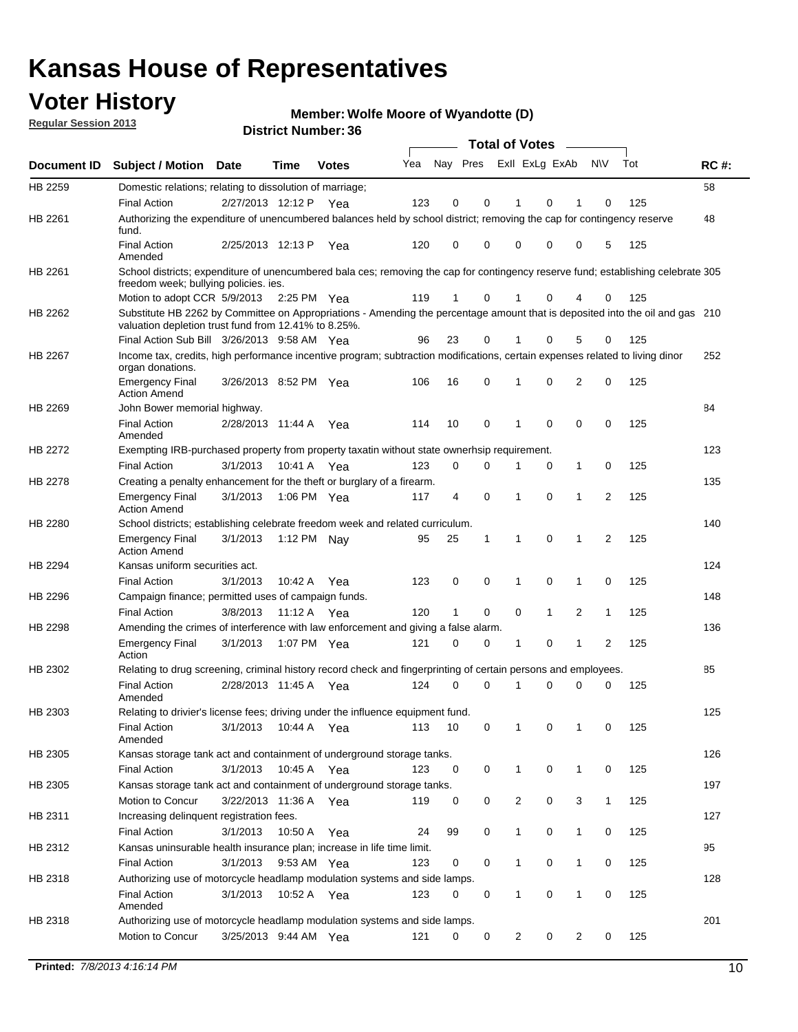## **Voter History**

**Member: Wolfe Moore of Wyandotte (D)** 

**Regular Session 2013**

|                    |                                                                                                                                                                                       |                       |             | DISTILL MUILIDEL, 30 |     |                         |             | Total of Votes – |              |                |              |     |             |
|--------------------|---------------------------------------------------------------------------------------------------------------------------------------------------------------------------------------|-----------------------|-------------|----------------------|-----|-------------------------|-------------|------------------|--------------|----------------|--------------|-----|-------------|
| <b>Document ID</b> | <b>Subject / Motion</b>                                                                                                                                                               | <b>Date</b>           | Time        | <b>Votes</b>         | Yea | Nay Pres ExII ExLg ExAb |             |                  |              |                | <b>NV</b>    | Tot | <b>RC#:</b> |
| HB 2259            | Domestic relations; relating to dissolution of marriage;                                                                                                                              |                       |             |                      |     |                         |             |                  |              |                |              |     | 58          |
|                    | <b>Final Action</b>                                                                                                                                                                   | 2/27/2013 12:12 P Yea |             |                      | 123 | 0                       | 0           | 1                | 0            | 1              | 0            | 125 |             |
| HB 2261            | Authorizing the expenditure of unencumbered balances held by school district; removing the cap for contingency reserve<br>fund.                                                       |                       |             |                      |     |                         |             |                  |              |                |              |     | 48          |
|                    | <b>Final Action</b><br>Amended                                                                                                                                                        | 2/25/2013 12:13 P     |             | Yea                  | 120 | 0                       | 0           | 0                | 0            | 0              | 5            | 125 |             |
| HB 2261            | School districts; expenditure of unencumbered bala ces; removing the cap for contingency reserve fund; establishing celebrate 305                                                     |                       |             |                      |     |                         |             |                  |              |                |              |     |             |
|                    | freedom week; bullying policies. ies.<br>Motion to adopt CCR 5/9/2013                                                                                                                 |                       | 2:25 PM Yea |                      | 119 | $\mathbf{1}$            | 0           | 1                | 0            | 4              | 0            | 125 |             |
| HB 2262            | Substitute HB 2262 by Committee on Appropriations - Amending the percentage amount that is deposited into the oil and gas 210<br>valuation depletion trust fund from 12.41% to 8.25%. |                       |             |                      |     |                         |             |                  |              |                |              |     |             |
|                    | Final Action Sub Bill 3/26/2013 9:58 AM Yea                                                                                                                                           |                       |             |                      | 96  | 23                      | 0           |                  | 0            | 5              | 0            | 125 |             |
| HB 2267            | Income tax, credits, high performance incentive program; subtraction modifications, certain expenses related to living dinor                                                          |                       |             |                      |     |                         |             |                  |              |                |              |     | 252         |
|                    | organ donations.<br><b>Emergency Final</b>                                                                                                                                            | 3/26/2013 8:52 PM Yea |             |                      | 106 | 16                      | 0           | 1                | 0            | 2              | 0            | 125 |             |
|                    | <b>Action Amend</b>                                                                                                                                                                   |                       |             |                      |     |                         |             |                  |              |                |              |     |             |
| HB 2269            | John Bower memorial highway.                                                                                                                                                          |                       |             |                      |     |                         |             |                  |              |                |              |     | 84          |
|                    | <b>Final Action</b><br>Amended                                                                                                                                                        | 2/28/2013 11:44 A Yea |             |                      | 114 | 10                      | 0           | 1                | 0            | 0              | 0            | 125 |             |
| HB 2272            | Exempting IRB-purchased property from property taxatin without state ownerhsip requirement.                                                                                           |                       |             |                      |     |                         |             |                  |              |                |              |     | 123         |
|                    | <b>Final Action</b>                                                                                                                                                                   | 3/1/2013              | 10:41 A Yea |                      | 123 | 0                       | 0           | 1                | 0            | $\mathbf{1}$   | 0            | 125 |             |
| HB 2278            | Creating a penalty enhancement for the theft or burglary of a firearm.                                                                                                                |                       |             |                      |     |                         |             |                  |              |                |              |     | 135         |
|                    | <b>Emergency Final</b><br><b>Action Amend</b>                                                                                                                                         | 3/1/2013              | 1:06 PM Yea |                      | 117 | 4                       | $\mathbf 0$ | 1                | $\Omega$     | 1              | 2            | 125 |             |
| HB 2280            | School districts; establishing celebrate freedom week and related curriculum.                                                                                                         |                       |             |                      |     |                         |             |                  |              |                |              |     | 140         |
|                    | <b>Emergency Final</b><br><b>Action Amend</b>                                                                                                                                         | 3/1/2013              | 1:12 PM Nay |                      | 95  | 25                      | 1           | 1                | $\mathbf 0$  | $\mathbf{1}$   | 2            | 125 |             |
| HB 2294            | Kansas uniform securities act.                                                                                                                                                        |                       |             |                      |     |                         |             |                  |              |                |              |     | 124         |
|                    | <b>Final Action</b>                                                                                                                                                                   | 3/1/2013              | 10:42 A     | Yea                  | 123 | 0                       | 0           | 1                | 0            | 1              | 0            | 125 |             |
| HB 2296            | Campaign finance; permitted uses of campaign funds.                                                                                                                                   |                       |             |                      |     |                         |             |                  |              |                |              |     | 148         |
|                    | <b>Final Action</b>                                                                                                                                                                   | 3/8/2013              | 11:12 A Yea |                      | 120 | $\mathbf{1}$            | 0           | 0                | $\mathbf{1}$ | $\overline{2}$ | $\mathbf{1}$ | 125 |             |
| HB 2298            | Amending the crimes of interference with law enforcement and giving a false alarm.                                                                                                    |                       |             |                      |     |                         |             |                  |              |                |              |     | 136         |
|                    | <b>Emergency Final</b><br>Action                                                                                                                                                      | 3/1/2013              | 1:07 PM Yea |                      | 121 | 0                       | 0           | 1                | 0            | $\mathbf{1}$   | 2            | 125 |             |
| HB 2302            | Relating to drug screening, criminal history record check and fingerprinting of certain persons and employees.                                                                        |                       |             |                      |     |                         |             |                  |              |                |              |     | 85          |
|                    | <b>Final Action</b><br>Amended                                                                                                                                                        | 2/28/2013 11:45 A Yea |             |                      | 124 | 0                       | 0           | 1                | 0            | 0              | 0            | 125 |             |
| HB 2303            | Relating to drivier's license fees; driving under the influence equipment fund.                                                                                                       |                       |             |                      |     |                         |             |                  |              |                |              |     | 125         |
|                    | <b>Final Action</b><br>Amended                                                                                                                                                        | 3/1/2013              | 10:44 A Yea |                      | 113 | 10                      | 0           |                  | 0            | 1              | 0            | 125 |             |
| HB 2305            | Kansas storage tank act and containment of underground storage tanks.                                                                                                                 |                       |             |                      |     |                         |             |                  |              |                |              |     | 126         |
|                    | <b>Final Action</b>                                                                                                                                                                   | 3/1/2013              | 10:45 A     | Yea                  | 123 | 0                       | 0           | $\mathbf 1$      | 0            | $\mathbf{1}$   | 0            | 125 |             |
| HB 2305            | Kansas storage tank act and containment of underground storage tanks.                                                                                                                 |                       |             |                      |     |                         |             |                  |              |                |              |     | 197         |
|                    | Motion to Concur                                                                                                                                                                      | 3/22/2013 11:36 A     |             | Yea                  | 119 | 0                       | 0           | 2                | 0            | 3              | $\mathbf{1}$ | 125 |             |
| HB 2311            | Increasing delinquent registration fees.                                                                                                                                              |                       |             |                      |     |                         |             |                  |              |                |              |     | 127         |
|                    | <b>Final Action</b>                                                                                                                                                                   | 3/1/2013              | 10:50 A     | Yea                  | 24  | 99                      | 0           | 1                | 0            | 1              | 0            | 125 |             |
| HB 2312            | Kansas uninsurable health insurance plan; increase in life time limit.                                                                                                                |                       |             |                      |     |                         |             |                  |              |                |              |     | 95          |
|                    | <b>Final Action</b>                                                                                                                                                                   | 3/1/2013              | 9:53 AM Yea |                      | 123 | 0                       | 0           | 1                | 0            | 1              | 0            | 125 |             |
| HB 2318            | Authorizing use of motorcycle headlamp modulation systems and side lamps.                                                                                                             |                       |             |                      |     |                         |             |                  |              |                |              |     | 128         |
|                    | <b>Final Action</b><br>Amended                                                                                                                                                        | 3/1/2013              | 10:52 A     | Yea                  | 123 | 0                       | 0           | 1                | 0            | 1              | 0            | 125 |             |
| HB 2318            | Authorizing use of motorcycle headlamp modulation systems and side lamps.                                                                                                             |                       |             |                      |     |                         |             |                  |              |                |              |     | 201         |
|                    | Motion to Concur                                                                                                                                                                      | 3/25/2013 9:44 AM Yea |             |                      | 121 | 0                       | 0           | 2                | 0            | 2              | 0            | 125 |             |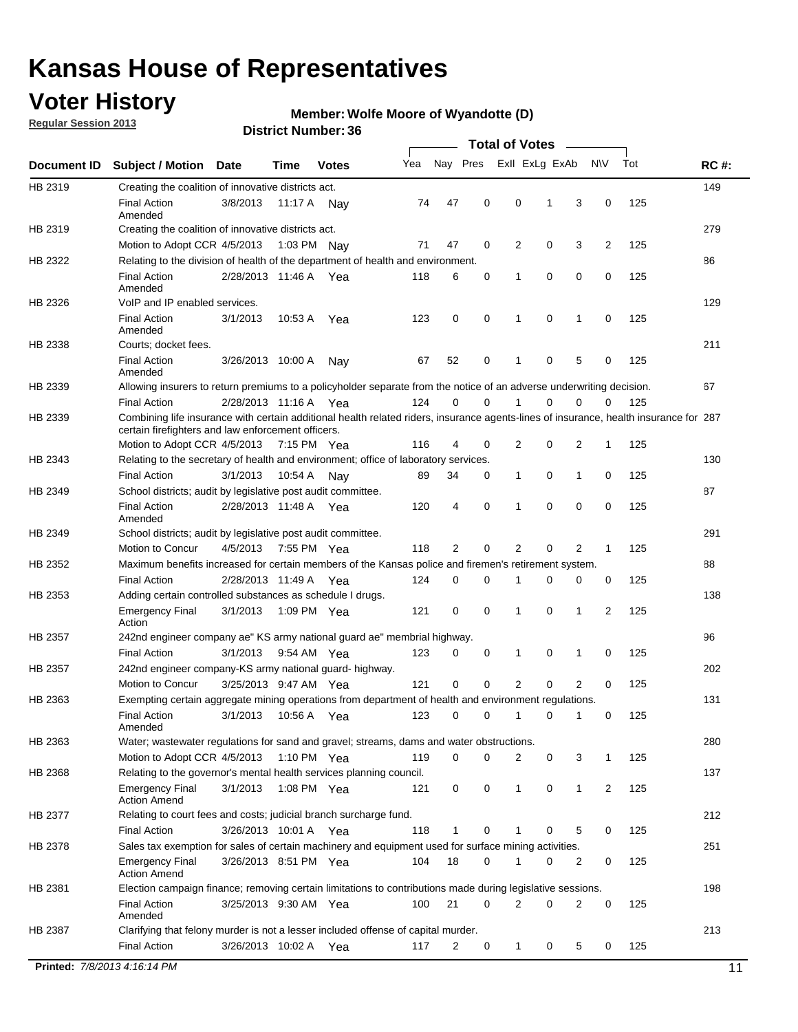## **Voter History**

**Regular Session 2013**

#### **Member: Wolfe Moore of Wyandotte (D)**

**District Number: 36**

|             |                                                                                                                                                                                             |                       |         |              |     |             |             | <b>Total of Votes</b> |             |                |     |     |             |
|-------------|---------------------------------------------------------------------------------------------------------------------------------------------------------------------------------------------|-----------------------|---------|--------------|-----|-------------|-------------|-----------------------|-------------|----------------|-----|-----|-------------|
| Document ID | <b>Subject / Motion</b>                                                                                                                                                                     | <b>Date</b>           | Time    | <b>Votes</b> | Yea | Nay Pres    |             | Exll ExLg ExAb        |             |                | N\V | Tot | <b>RC#:</b> |
| HB 2319     | Creating the coalition of innovative districts act.                                                                                                                                         |                       |         |              |     |             |             |                       |             |                |     |     | 149         |
|             | <b>Final Action</b><br>Amended                                                                                                                                                              | 3/8/2013              | 11:17 A | Nav          | 74  | 47          | 0           | 0                     | 1           | 3              | 0   | 125 |             |
| HB 2319     | Creating the coalition of innovative districts act.                                                                                                                                         |                       |         |              |     |             |             |                       |             |                |     |     | 279         |
|             | Motion to Adopt CCR 4/5/2013                                                                                                                                                                |                       |         | 1:03 PM Nav  | 71  | 47          | 0           | 2                     | 0           | 3              | 2   | 125 |             |
| HB 2322     | Relating to the division of health of the department of health and environment.                                                                                                             |                       |         |              |     |             |             |                       |             |                |     |     | 86          |
|             | <b>Final Action</b><br>Amended                                                                                                                                                              | 2/28/2013 11:46 A Yea |         |              | 118 | 6           | 0           | 1                     | 0           | 0              | 0   | 125 |             |
| HB 2326     | VoIP and IP enabled services.                                                                                                                                                               |                       |         |              |     |             |             |                       |             |                |     |     | 129         |
|             | <b>Final Action</b><br>Amended                                                                                                                                                              | 3/1/2013              | 10:53 A | Yea          | 123 | $\mathbf 0$ | $\mathbf 0$ | 1                     | $\mathbf 0$ | 1              | 0   | 125 |             |
| HB 2338     | Courts; docket fees.                                                                                                                                                                        |                       |         |              |     |             |             |                       |             |                |     |     | 211         |
|             | <b>Final Action</b><br>Amended                                                                                                                                                              | 3/26/2013 10:00 A     |         | Nav          | 67  | 52          | 0           | 1                     | 0           | 5              | 0   | 125 |             |
| HB 2339     | Allowing insurers to return premiums to a policyholder separate from the notice of an adverse underwriting decision.                                                                        |                       |         |              |     |             |             |                       |             |                |     |     | 67          |
|             | <b>Final Action</b>                                                                                                                                                                         | 2/28/2013 11:16 A Yea |         |              | 124 | 0           | 0           | 1                     | 0           | 0              | 0   | 125 |             |
| HB 2339     | Combining life insurance with certain additional health related riders, insurance agents-lines of insurance, health insurance for 287<br>certain firefighters and law enforcement officers. |                       |         |              |     |             |             |                       |             |                |     |     |             |
|             | Motion to Adopt CCR 4/5/2013 7:15 PM Yea                                                                                                                                                    |                       |         |              | 116 | 4           | 0           | 2                     | 0           | 2              | 1   | 125 |             |
| HB 2343     | Relating to the secretary of health and environment; office of laboratory services.                                                                                                         |                       |         |              |     |             |             |                       |             |                |     |     | 130         |
|             | <b>Final Action</b>                                                                                                                                                                         | 3/1/2013              | 10:54 A | Nav          | 89  | 34          | 0           | 1                     | 0           | 1              | 0   | 125 |             |
| HB 2349     | School districts; audit by legislative post audit committee.                                                                                                                                |                       |         |              |     |             |             |                       |             |                |     |     | 87          |
|             | <b>Final Action</b><br>Amended                                                                                                                                                              | 2/28/2013 11:48 A Yea |         |              | 120 | 4           | $\mathbf 0$ | 1                     | $\mathbf 0$ | 0              | 0   | 125 |             |
| HB 2349     | School districts; audit by legislative post audit committee.                                                                                                                                |                       |         |              |     |             |             |                       |             |                |     |     | 291         |
|             | Motion to Concur                                                                                                                                                                            | 4/5/2013              |         | 7:55 PM Yea  | 118 | 2           | 0           | 2                     | 0           | 2              | 1   | 125 |             |
| HB 2352     | Maximum benefits increased for certain members of the Kansas police and firemen's retirement system.                                                                                        |                       |         |              |     |             |             |                       |             |                |     |     | 88          |
|             | <b>Final Action</b>                                                                                                                                                                         | 2/28/2013 11:49 A     |         | Yea          | 124 | $\mathbf 0$ | 0           | 1                     | 0           | 0              | 0   | 125 |             |
| HB 2353     | Adding certain controlled substances as schedule I drugs.                                                                                                                                   |                       |         |              |     |             |             |                       |             |                |     |     | 138         |
|             | <b>Emergency Final</b><br>Action                                                                                                                                                            | 3/1/2013              |         | 1:09 PM Yea  | 121 | 0           | $\mathbf 0$ | 1                     | 0           | 1              | 2   | 125 |             |
| HB 2357     | 242nd engineer company ae" KS army national guard ae" membrial highway.                                                                                                                     |                       |         |              |     |             |             |                       |             |                |     |     | 96          |
|             | <b>Final Action</b>                                                                                                                                                                         | 3/1/2013              |         | 9:54 AM Yea  | 123 | 0           | 0           | 1                     | 0           | 1              | 0   | 125 |             |
| HB 2357     | 242nd engineer company-KS army national guard-highway.                                                                                                                                      |                       |         |              |     |             |             |                       |             |                |     |     | 202         |
|             | Motion to Concur                                                                                                                                                                            | 3/25/2013 9:47 AM Yea |         |              | 121 | $\mathbf 0$ | $\mathbf 0$ | 2                     | 0           | $\overline{2}$ | 0   | 125 |             |
| HB 2363     | Exempting certain aggregate mining operations from department of health and environment regulations.                                                                                        |                       |         |              |     |             |             |                       |             |                |     |     | 131         |
|             | <b>Final Action</b><br>Amended                                                                                                                                                              | 3/1/2013              |         | 10:56 A Yea  | 123 | 0           | 0           | 1                     | 0           | 1              | 0   | 125 |             |
| HB 2363     | Water; wastewater regulations for sand and gravel; streams, dams and water obstructions.                                                                                                    |                       |         |              |     |             |             |                       |             |                |     |     | 280         |
|             | Motion to Adopt CCR 4/5/2013                                                                                                                                                                |                       |         | 1:10 PM Yea  | 119 | 0           | 0           | 2                     | 0           | 3              | 1   | 125 |             |
| HB 2368     | Relating to the governor's mental health services planning council.                                                                                                                         |                       |         |              |     |             |             |                       |             |                |     |     | 137         |
|             | <b>Emergency Final</b><br><b>Action Amend</b>                                                                                                                                               | 3/1/2013              |         | 1:08 PM Yea  | 121 | 0           | 0           | 1                     | 0           | 1              | 2   | 125 |             |
| HB 2377     | Relating to court fees and costs; judicial branch surcharge fund.                                                                                                                           |                       |         |              |     |             |             |                       |             |                |     |     | 212         |
|             | Final Action                                                                                                                                                                                | 3/26/2013 10:01 A Yea |         |              | 118 | 1           | 0           | 1                     | 0           | 5              | 0   | 125 |             |
| HB 2378     | Sales tax exemption for sales of certain machinery and equipment used for surface mining activities.                                                                                        |                       |         |              |     |             |             |                       |             |                |     |     | 251         |
|             | <b>Emergency Final</b><br><b>Action Amend</b>                                                                                                                                               | 3/26/2013 8:51 PM Yea |         |              | 104 | 18          | 0           | 1                     | 0           | 2              | 0   | 125 |             |
| HB 2381     | Election campaign finance; removing certain limitations to contributions made during legislative sessions.                                                                                  |                       |         |              |     |             |             |                       |             |                |     |     | 198         |
|             | <b>Final Action</b><br>Amended                                                                                                                                                              | 3/25/2013 9:30 AM Yea |         |              | 100 | 21          | $\mathbf 0$ | 2                     | 0           | 2              | 0   | 125 |             |
| HB 2387     | Clarifying that felony murder is not a lesser included offense of capital murder.                                                                                                           |                       |         |              |     |             |             |                       |             |                |     |     | 213         |
|             | <b>Final Action</b>                                                                                                                                                                         | 3/26/2013 10:02 A Yea |         |              | 117 | 2           | 0           | $\mathbf{1}$          | 0           | 5              | 0   | 125 |             |

**Printed:**  $7/8/20134:16:14 \text{ PM}$  11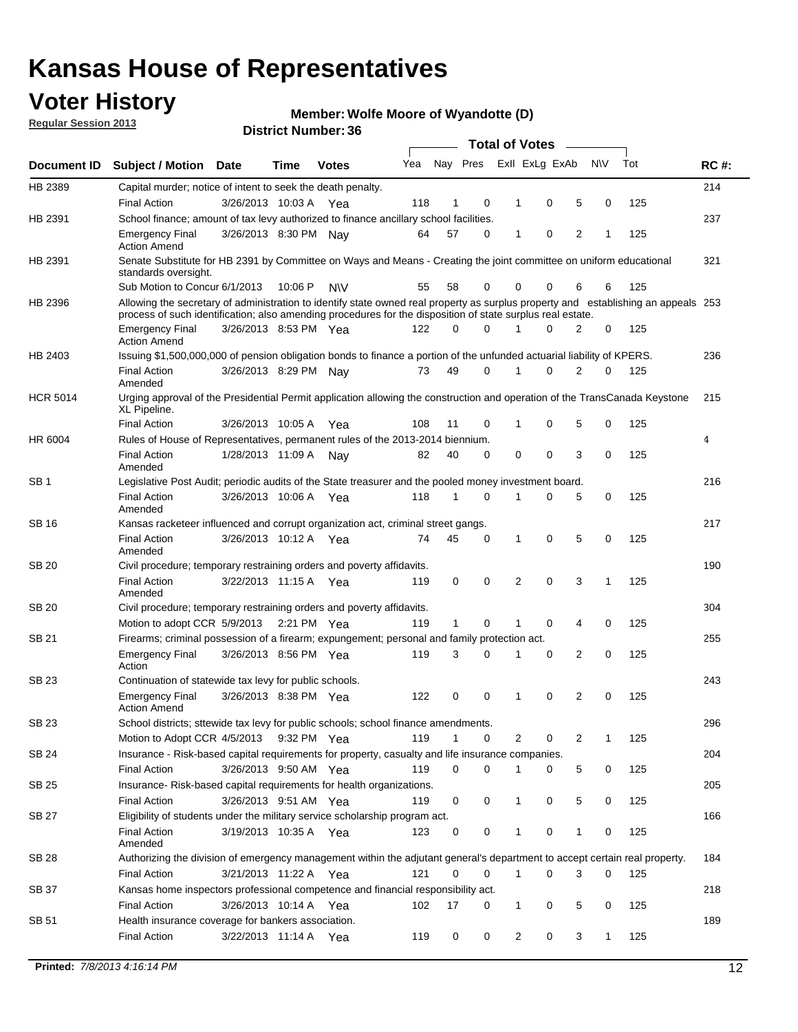## **Voter History**

**Member: Wolfe Moore of Wyandotte (D)** 

**Regular Session 2013**

|                 |                                                                                                                                                                                                                                                  |                       |         |              |     |              |          | <b>Total of Votes</b> |   |   |              |     |             |
|-----------------|--------------------------------------------------------------------------------------------------------------------------------------------------------------------------------------------------------------------------------------------------|-----------------------|---------|--------------|-----|--------------|----------|-----------------------|---|---|--------------|-----|-------------|
| Document ID     | Subject / Motion Date                                                                                                                                                                                                                            |                       | Time    | <b>Votes</b> | Yea | Nay Pres     |          | Exll ExLg ExAb        |   |   | <b>NV</b>    | Tot | <b>RC#:</b> |
| HB 2389         | Capital murder; notice of intent to seek the death penalty.                                                                                                                                                                                      |                       |         |              |     |              |          |                       |   |   |              |     | 214         |
|                 | <b>Final Action</b>                                                                                                                                                                                                                              | 3/26/2013 10:03 A     |         | Yea          | 118 | 1            | 0        | 1                     | 0 | 5 | 0            | 125 |             |
| HB 2391         | School finance; amount of tax levy authorized to finance ancillary school facilities.                                                                                                                                                            |                       |         |              |     |              |          |                       |   |   |              |     | 237         |
|                 | <b>Emergency Final</b><br><b>Action Amend</b>                                                                                                                                                                                                    | 3/26/2013 8:30 PM Nav |         |              | 64  | 57           | 0        | 1                     | 0 | 2 | 1            | 125 |             |
| HB 2391         | Senate Substitute for HB 2391 by Committee on Ways and Means - Creating the joint committee on uniform educational<br>standards oversight.                                                                                                       |                       |         |              |     |              |          |                       |   |   |              |     | 321         |
|                 | Sub Motion to Concur 6/1/2013                                                                                                                                                                                                                    |                       | 10:06 P | <b>NV</b>    | 55  | 58           | 0        | 0                     | 0 | 6 | 6            | 125 |             |
| HB 2396         | Allowing the secretary of administration to identify state owned real property as surplus property and establishing an appeals 253<br>process of such identification; also amending procedures for the disposition of state surplus real estate. |                       |         |              |     |              |          |                       |   |   |              |     |             |
|                 | <b>Emergency Final</b><br>Action Amend                                                                                                                                                                                                           | 3/26/2013 8:53 PM Yea |         |              | 122 | 0            | 0        |                       | 0 | 2 | 0            | 125 |             |
| HB 2403         | Issuing \$1,500,000,000 of pension obligation bonds to finance a portion of the unfunded actuarial liability of KPERS.                                                                                                                           |                       |         |              |     |              |          |                       |   |   |              |     | 236         |
|                 | <b>Final Action</b><br>Amended                                                                                                                                                                                                                   | 3/26/2013 8:29 PM Nay |         |              | 73  | 49           | 0        | 1                     | 0 | 2 | 0            | 125 |             |
| <b>HCR 5014</b> | Urging approval of the Presidential Permit application allowing the construction and operation of the TransCanada Keystone<br>XL Pipeline.                                                                                                       |                       |         |              |     |              |          |                       |   |   |              |     | 215         |
|                 | <b>Final Action</b>                                                                                                                                                                                                                              | 3/26/2013 10:05 A     |         | Yea          | 108 | 11           | 0        |                       | 0 | 5 | 0            | 125 |             |
| HR 6004         | Rules of House of Representatives, permanent rules of the 2013-2014 biennium.                                                                                                                                                                    |                       |         |              |     |              |          |                       |   |   |              |     | 4           |
|                 | <b>Final Action</b><br>Amended                                                                                                                                                                                                                   | 1/28/2013 11:09 A     |         | Nav          | 82  | 40           | 0        | 0                     | 0 | 3 | 0            | 125 |             |
| SB 1            | Legislative Post Audit; periodic audits of the State treasurer and the pooled money investment board.                                                                                                                                            |                       |         |              |     |              |          |                       |   |   |              |     | 216         |
|                 | <b>Final Action</b><br>Amended                                                                                                                                                                                                                   | 3/26/2013 10:06 A     |         | Yea          | 118 | 1            | 0        | 1                     | 0 | 5 | 0            | 125 |             |
| SB 16           | Kansas racketeer influenced and corrupt organization act, criminal street gangs.                                                                                                                                                                 |                       |         |              |     |              |          |                       |   |   |              |     | 217         |
|                 | <b>Final Action</b><br>Amended                                                                                                                                                                                                                   | 3/26/2013 10:12 A Yea |         |              | 74  | 45           | 0        | 1                     | 0 | 5 | 0            | 125 |             |
| SB 20           | Civil procedure; temporary restraining orders and poverty affidavits.                                                                                                                                                                            |                       |         |              |     |              |          |                       |   |   |              |     | 190         |
|                 | <b>Final Action</b><br>Amended                                                                                                                                                                                                                   | 3/22/2013 11:15 A     |         | Yea          | 119 | 0            | 0        | 2                     | 0 | 3 | $\mathbf{1}$ | 125 |             |
| SB 20           | Civil procedure; temporary restraining orders and poverty affidavits.                                                                                                                                                                            |                       |         |              |     |              |          |                       |   |   |              |     | 304         |
|                 | Motion to adopt CCR 5/9/2013                                                                                                                                                                                                                     |                       |         | 2:21 PM Yea  | 119 | $\mathbf{1}$ | 0        | 1                     | 0 | 4 | 0            | 125 |             |
| SB 21           | Firearms; criminal possession of a firearm; expungement; personal and family protection act.                                                                                                                                                     |                       |         |              |     |              |          |                       |   |   |              |     | 255         |
|                 | <b>Emergency Final</b><br>Action                                                                                                                                                                                                                 | 3/26/2013 8:56 PM Yea |         |              | 119 | 3            | 0        |                       | 0 | 2 | 0            | 125 |             |
| SB 23           | Continuation of statewide tax levy for public schools.                                                                                                                                                                                           |                       |         |              |     |              |          |                       |   |   |              |     | 243         |
|                 | <b>Emergency Final</b><br><b>Action Amend</b>                                                                                                                                                                                                    | 3/26/2013 8:38 PM Yea |         |              | 122 | 0            | 0        | 1                     | 0 | 2 | 0            | 125 |             |
| <b>SB 23</b>    | School districts; sttewide tax levy for public schools; school finance amendments                                                                                                                                                                |                       |         |              |     |              |          |                       |   |   |              |     | 296         |
|                 | Motion to Adopt CCR 4/5/2013 9:32 PM Yea                                                                                                                                                                                                         |                       |         |              | 119 | 1            | 0        | 2                     | 0 | 2 | 1            | 125 |             |
| <b>SB 24</b>    | Insurance - Risk-based capital requirements for property, casualty and life insurance companies.                                                                                                                                                 |                       |         |              |     |              |          |                       |   |   |              |     | 204         |
|                 | <b>Final Action</b>                                                                                                                                                                                                                              | 3/26/2013 9:50 AM Yea |         |              | 119 | 0            | 0        |                       | 0 | 5 | 0            | 125 |             |
| SB 25           | Insurance-Risk-based capital requirements for health organizations.                                                                                                                                                                              |                       |         |              |     |              |          |                       |   |   |              |     | 205         |
|                 | <b>Final Action</b>                                                                                                                                                                                                                              | 3/26/2013 9:51 AM Yea |         |              | 119 | 0            | 0        | 1                     | 0 | 5 | 0            | 125 |             |
| SB 27           | Eligibility of students under the military service scholarship program act.                                                                                                                                                                      |                       |         |              |     |              |          |                       |   |   |              |     | 166         |
|                 | <b>Final Action</b><br>Amended                                                                                                                                                                                                                   | 3/19/2013 10:35 A Yea |         |              | 123 | 0            | 0        |                       | 0 | 1 | 0            | 125 |             |
| SB 28           | Authorizing the division of emergency management within the adjutant general's department to accept certain real property.                                                                                                                       |                       |         |              |     |              |          |                       |   |   |              |     | 184         |
|                 | <b>Final Action</b>                                                                                                                                                                                                                              | 3/21/2013 11:22 A Yea |         |              | 121 | 0            | $\Omega$ | 1                     | 0 | 3 | $\Omega$     | 125 |             |
| SB 37           | Kansas home inspectors professional competence and financial responsibility act.                                                                                                                                                                 |                       |         |              |     |              |          |                       |   |   |              |     | 218         |
|                 | <b>Final Action</b>                                                                                                                                                                                                                              | 3/26/2013 10:14 A Yea |         |              | 102 | 17           | 0        | 1                     | 0 | 5 | 0            | 125 |             |
| SB 51           | Health insurance coverage for bankers association.                                                                                                                                                                                               |                       |         |              |     |              |          |                       |   |   |              |     | 189         |
|                 | <b>Final Action</b>                                                                                                                                                                                                                              | 3/22/2013 11:14 A Yea |         |              | 119 | 0            | 0        | 2                     | 0 | 3 | $\mathbf{1}$ | 125 |             |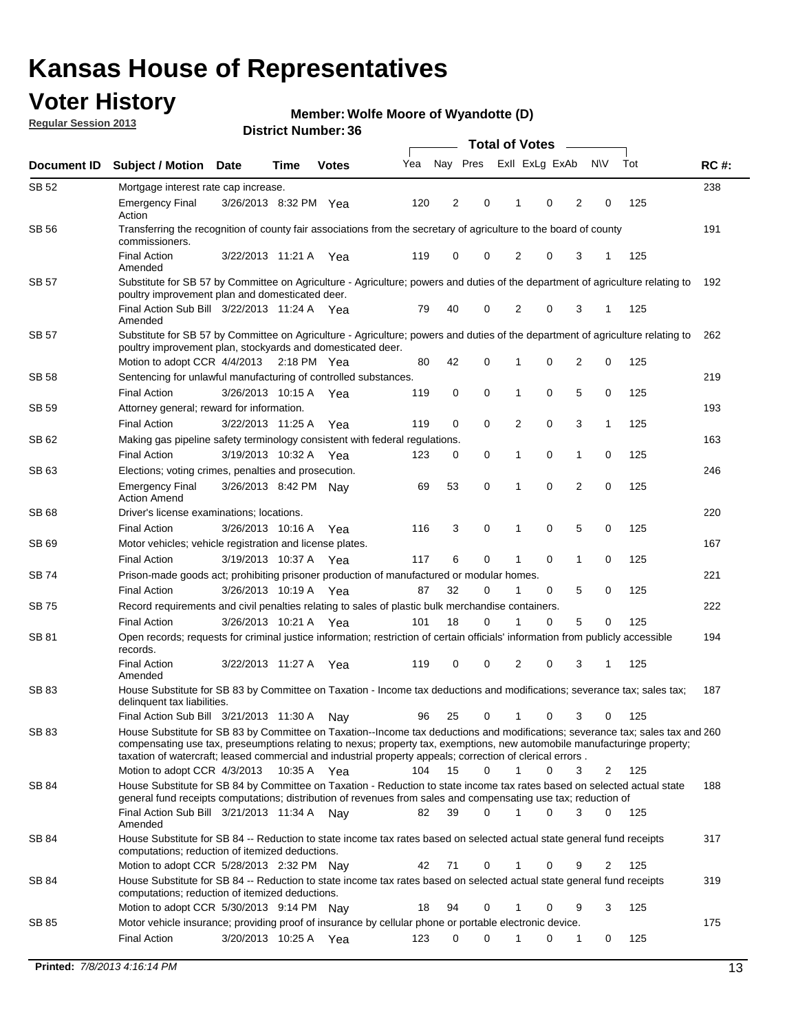## **Voter History**

**Member: Wolfe Moore of Wyandotte (D)** 

**Regular Session 2013**

|              |                                                                                                                                                                                                                                                                                                                                                                         |                       |             |              |     | <b>Total of Votes</b> |             |                |   |                |             |     |             |
|--------------|-------------------------------------------------------------------------------------------------------------------------------------------------------------------------------------------------------------------------------------------------------------------------------------------------------------------------------------------------------------------------|-----------------------|-------------|--------------|-----|-----------------------|-------------|----------------|---|----------------|-------------|-----|-------------|
| Document ID  | <b>Subject / Motion Date</b>                                                                                                                                                                                                                                                                                                                                            |                       | Time        | <b>Votes</b> | Yea | Nay Pres              |             | Exll ExLg ExAb |   |                | <b>NV</b>   | Tot | <b>RC#:</b> |
| SB 52        | Mortgage interest rate cap increase.                                                                                                                                                                                                                                                                                                                                    |                       |             |              |     |                       |             |                |   |                |             |     | 238         |
|              | <b>Emergency Final</b><br>Action                                                                                                                                                                                                                                                                                                                                        | 3/26/2013 8:32 PM Yea |             |              | 120 | 2                     | 0           |                | 0 | 2              | 0           | 125 |             |
| SB 56        | Transferring the recognition of county fair associations from the secretary of agriculture to the board of county<br>commissioners.                                                                                                                                                                                                                                     |                       |             |              |     |                       |             |                |   |                |             |     | 191         |
|              | <b>Final Action</b><br>Amended                                                                                                                                                                                                                                                                                                                                          | 3/22/2013 11:21 A     |             | Yea          | 119 | 0                     | 0           | 2              | 0 | 3              | 1           | 125 |             |
| SB 57        | Substitute for SB 57 by Committee on Agriculture - Agriculture; powers and duties of the department of agriculture relating to<br>poultry improvement plan and domesticated deer.                                                                                                                                                                                       |                       |             |              |     |                       |             |                |   |                |             |     | 192         |
|              | Final Action Sub Bill 3/22/2013 11:24 A Yea<br>Amended                                                                                                                                                                                                                                                                                                                  |                       |             |              | 79  | 40                    | 0           | 2              | 0 | 3              | 1           | 125 |             |
| SB 57        | Substitute for SB 57 by Committee on Agriculture - Agriculture; powers and duties of the department of agriculture relating to<br>poultry improvement plan, stockyards and domesticated deer.                                                                                                                                                                           |                       |             |              |     |                       |             |                |   |                |             |     | 262         |
|              | Motion to adopt CCR 4/4/2013 2:18 PM Yea                                                                                                                                                                                                                                                                                                                                |                       |             |              | 80  | 42                    | 0           | 1              | 0 | 2              | 0           | 125 |             |
| SB 58        | Sentencing for unlawful manufacturing of controlled substances.                                                                                                                                                                                                                                                                                                         |                       |             |              |     |                       |             |                |   |                |             |     | 219         |
|              | <b>Final Action</b>                                                                                                                                                                                                                                                                                                                                                     | 3/26/2013 10:15 A     |             | Yea          | 119 | 0                     | 0           | 1              | 0 | 5              | 0           | 125 |             |
| <b>SB 59</b> | Attorney general; reward for information.                                                                                                                                                                                                                                                                                                                               |                       |             |              |     |                       |             |                |   |                |             |     | 193         |
|              | <b>Final Action</b>                                                                                                                                                                                                                                                                                                                                                     | 3/22/2013 11:25 A     |             | Yea          | 119 | 0                     | 0           | 2              | 0 | 3              | 1           | 125 |             |
| SB 62        | Making gas pipeline safety terminology consistent with federal regulations.                                                                                                                                                                                                                                                                                             |                       |             |              |     |                       |             |                |   |                |             |     | 163         |
|              | <b>Final Action</b>                                                                                                                                                                                                                                                                                                                                                     | 3/19/2013 10:32 A     |             | Yea          | 123 | 0                     | 0           | 1              | 0 | 1              | 0           | 125 |             |
| SB 63        | Elections; voting crimes, penalties and prosecution.                                                                                                                                                                                                                                                                                                                    |                       |             |              |     |                       |             |                |   |                |             |     | 246         |
|              | <b>Emergency Final</b><br><b>Action Amend</b>                                                                                                                                                                                                                                                                                                                           | 3/26/2013 8:42 PM Nay |             |              | 69  | 53                    | $\mathbf 0$ | 1              | 0 | $\overline{2}$ | $\mathbf 0$ | 125 |             |
| SB 68        | Driver's license examinations; locations.                                                                                                                                                                                                                                                                                                                               |                       |             |              |     |                       |             |                |   |                |             |     | 220         |
|              | <b>Final Action</b>                                                                                                                                                                                                                                                                                                                                                     | 3/26/2013 10:16 A     |             | Yea          | 116 | 3                     | 0           | 1              | 0 | 5              | 0           | 125 |             |
| SB 69        | Motor vehicles; vehicle registration and license plates.                                                                                                                                                                                                                                                                                                                |                       |             |              |     |                       |             |                |   |                |             |     | 167         |
|              | <b>Final Action</b>                                                                                                                                                                                                                                                                                                                                                     | 3/19/2013 10:37 A     |             | Yea          | 117 | 6                     | 0           | 1              | 0 | $\mathbf{1}$   | 0           | 125 |             |
| SB 74        | Prison-made goods act; prohibiting prisoner production of manufactured or modular homes.                                                                                                                                                                                                                                                                                |                       |             |              |     |                       |             |                |   |                |             |     | 221         |
|              | <b>Final Action</b>                                                                                                                                                                                                                                                                                                                                                     | 3/26/2013 10:19 A     |             | Yea          | 87  | 32                    | 0           | 1              | 0 | 5              | 0           | 125 |             |
| SB 75        | Record requirements and civil penalties relating to sales of plastic bulk merchandise containers.                                                                                                                                                                                                                                                                       |                       |             |              |     |                       |             |                |   |                |             |     | 222         |
|              | <b>Final Action</b>                                                                                                                                                                                                                                                                                                                                                     | 3/26/2013 10:21 A     |             | Yea          | 101 | 18                    | 0           | 1              | 0 | 5              | 0           | 125 |             |
| SB 81        | Open records; requests for criminal justice information; restriction of certain officials' information from publicly accessible<br>records.<br><b>Final Action</b>                                                                                                                                                                                                      | 3/22/2013 11:27 A     |             |              | 119 | 0                     | 0           | 2              | 0 | 3              |             | 125 | 194         |
|              | Amended                                                                                                                                                                                                                                                                                                                                                                 |                       |             | Yea          |     |                       |             |                |   |                |             |     |             |
| <b>SB83</b>  | House Substitute for SB 83 by Committee on Taxation - Income tax deductions and modifications; severance tax; sales tax;<br>delinquent tax liabilities.                                                                                                                                                                                                                 |                       |             |              |     |                       |             |                |   |                |             |     | 187         |
|              | Final Action Sub Bill 3/21/2013 11:30 A                                                                                                                                                                                                                                                                                                                                 |                       |             | Nav          | 96  | 25                    | 0           | 1              | 0 | 3              | 0           | 125 |             |
| SB 83        | House Substitute for SB 83 by Committee on Taxation--Income tax deductions and modifications; severance tax; sales tax and 260<br>compensating use tax, preseumptions relating to nexus; property tax, exemptions, new automobile manufacturinge property;<br>taxation of watercraft; leased commercial and industrial property appeals; correction of clerical errors. |                       |             |              |     |                       |             |                |   |                |             |     |             |
|              | Motion to adopt CCR 4/3/2013                                                                                                                                                                                                                                                                                                                                            |                       | 10:35 A Yea |              | 104 | 15                    | 0           | $\mathbf{1}$   | 0 | 3              | 2           | 125 |             |
| SB 84        | House Substitute for SB 84 by Committee on Taxation - Reduction to state income tax rates based on selected actual state<br>general fund receipts computations; distribution of revenues from sales and compensating use tax; reduction of<br>Final Action Sub Bill 3/21/2013 11:34 A Nay                                                                               |                       |             |              | 82  | 39                    | $\Omega$    |                | 0 | 3              | $\Omega$    | 125 | 188         |
|              | Amended                                                                                                                                                                                                                                                                                                                                                                 |                       |             |              |     |                       |             |                |   |                |             |     |             |
| SB 84        | House Substitute for SB 84 -- Reduction to state income tax rates based on selected actual state general fund receipts<br>computations; reduction of itemized deductions.                                                                                                                                                                                               |                       |             |              |     |                       |             |                |   |                |             |     | 317         |
|              | Motion to adopt CCR 5/28/2013 2:32 PM Nav                                                                                                                                                                                                                                                                                                                               |                       |             |              | 42  | 71                    | 0           |                | 0 | 9              | 2           | 125 |             |
| SB 84        | House Substitute for SB 84 -- Reduction to state income tax rates based on selected actual state general fund receipts<br>computations; reduction of itemized deductions.                                                                                                                                                                                               |                       |             |              |     |                       |             |                |   |                |             |     | 319         |
|              | Motion to adopt CCR 5/30/2013 9:14 PM Nay                                                                                                                                                                                                                                                                                                                               |                       |             |              | 18  | 94                    | 0           |                | 0 | 9              | 3           | 125 |             |
| SB 85        | Motor vehicle insurance; providing proof of insurance by cellular phone or portable electronic device.<br><b>Final Action</b>                                                                                                                                                                                                                                           | 3/20/2013 10:25 A Yea |             |              | 123 | 0                     | $\Omega$    |                | 0 | 1              | 0           | 125 | 175         |
|              |                                                                                                                                                                                                                                                                                                                                                                         |                       |             |              |     |                       |             |                |   |                |             |     |             |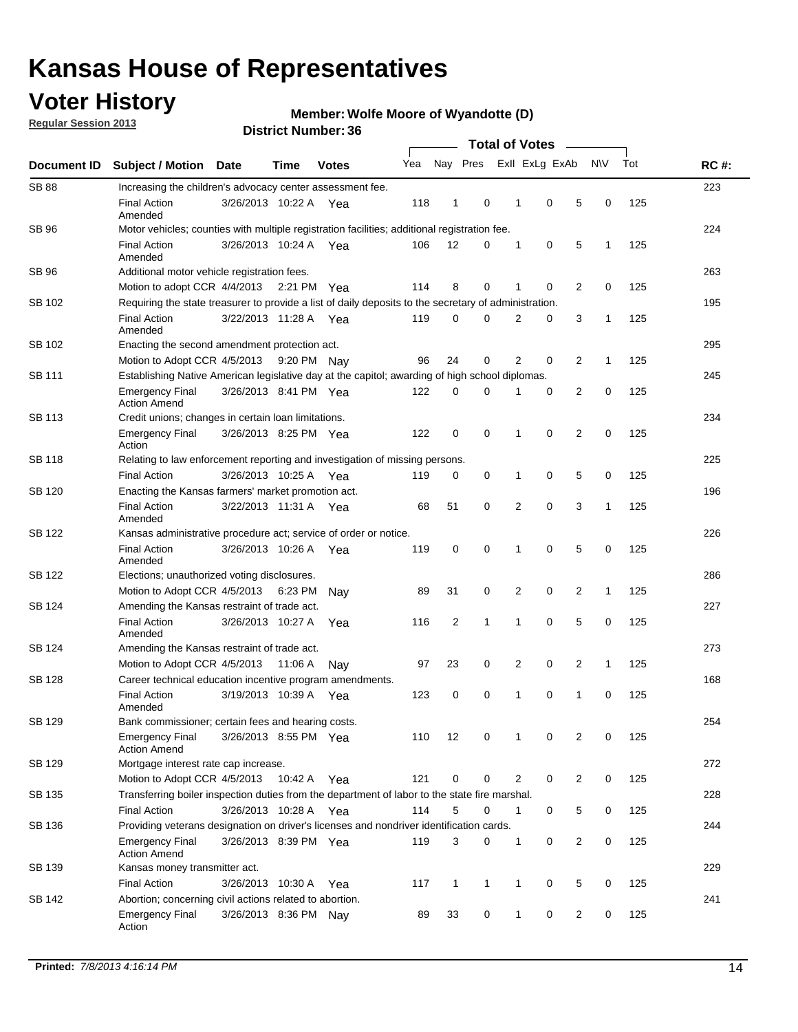## **Voter History**

**Regular Session 2013**

#### **Member: Wolfe Moore of Wyandotte (D)**

| Document ID                                                                                                                            |                                                                                                       |                       |         |              |     |                |   |                |   |                |              |     |             |  |  |  |  |  |  |  |
|----------------------------------------------------------------------------------------------------------------------------------------|-------------------------------------------------------------------------------------------------------|-----------------------|---------|--------------|-----|----------------|---|----------------|---|----------------|--------------|-----|-------------|--|--|--|--|--|--|--|
|                                                                                                                                        | <b>Subject / Motion Date</b>                                                                          |                       | Time    | <b>Votes</b> | Yea | Nay Pres       |   | Exll ExLg ExAb |   |                | <b>NV</b>    | Tot | <b>RC#:</b> |  |  |  |  |  |  |  |
| <b>SB 88</b>                                                                                                                           | Increasing the children's advocacy center assessment fee.                                             |                       |         |              |     |                |   |                |   |                |              |     | 223         |  |  |  |  |  |  |  |
|                                                                                                                                        | <b>Final Action</b><br>Amended                                                                        | 3/26/2013 10:22 A     |         | Yea          | 118 | 1              | 0 | 1              | 0 | 5              | 0            | 125 |             |  |  |  |  |  |  |  |
| SB 96                                                                                                                                  | Motor vehicles; counties with multiple registration facilities; additional registration fee.          |                       |         |              |     |                |   |                |   |                |              |     | 224         |  |  |  |  |  |  |  |
|                                                                                                                                        | <b>Final Action</b><br>Amended                                                                        | 3/26/2013 10:24 A Yea |         |              | 106 | 12             | 0 | 1              | 0 | 5              | 1            | 125 |             |  |  |  |  |  |  |  |
| SB 96                                                                                                                                  | Additional motor vehicle registration fees.                                                           |                       |         |              |     |                |   |                |   |                |              |     | 263         |  |  |  |  |  |  |  |
|                                                                                                                                        | Motion to adopt CCR 4/4/2013 2:21 PM                                                                  |                       |         | Yea          | 114 | 8              | 0 | 1              | 0 | 2              | 0            | 125 |             |  |  |  |  |  |  |  |
| SB 102                                                                                                                                 | Requiring the state treasurer to provide a list of daily deposits to the secretary of administration. |                       |         |              |     |                |   |                |   |                |              |     | 195         |  |  |  |  |  |  |  |
|                                                                                                                                        | <b>Final Action</b><br>Amended                                                                        | 3/22/2013 11:28 A Yea |         |              | 119 | 0              | 0 | $\overline{2}$ | 0 | 3              | $\mathbf{1}$ | 125 |             |  |  |  |  |  |  |  |
| SB 102<br>SB 111<br><b>SB 113</b><br><b>SB 118</b><br>SB 120<br>SB 122<br>SB 122<br>SB 124<br>SB 124<br><b>SB 128</b><br><b>SB 129</b> | Enacting the second amendment protection act.                                                         |                       |         |              |     |                |   |                |   |                |              |     | 295         |  |  |  |  |  |  |  |
|                                                                                                                                        | Motion to Adopt CCR 4/5/2013                                                                          |                       |         | 9:20 PM Nay  | 96  | 24             | 0 | 2              | 0 | 2              | $\mathbf{1}$ | 125 |             |  |  |  |  |  |  |  |
|                                                                                                                                        | Establishing Native American legislative day at the capitol; awarding of high school diplomas.        |                       |         |              |     |                |   |                |   |                |              |     |             |  |  |  |  |  |  |  |
|                                                                                                                                        | Emergency Final<br><b>Action Amend</b>                                                                | 3/26/2013 8:41 PM Yea |         |              | 122 | 0              | 0 |                | 0 | 2              | 0            | 125 |             |  |  |  |  |  |  |  |
|                                                                                                                                        | Credit unions; changes in certain loan limitations.                                                   |                       |         |              |     |                |   |                |   |                |              |     | 234         |  |  |  |  |  |  |  |
|                                                                                                                                        | <b>Emergency Final</b><br>Action                                                                      | 3/26/2013 8:25 PM Yea |         |              | 122 | 0              | 0 | 1              | 0 | $\overline{2}$ | 0            | 125 |             |  |  |  |  |  |  |  |
|                                                                                                                                        | Relating to law enforcement reporting and investigation of missing persons.                           |                       |         |              |     |                |   |                |   |                |              |     | 225         |  |  |  |  |  |  |  |
|                                                                                                                                        | <b>Final Action</b>                                                                                   | 3/26/2013 10:25 A Yea |         |              | 119 | 0              | 0 | 1              | 0 | 5              | 0            | 125 |             |  |  |  |  |  |  |  |
|                                                                                                                                        | Enacting the Kansas farmers' market promotion act.                                                    |                       |         |              |     |                |   |                |   |                |              |     | 196         |  |  |  |  |  |  |  |
|                                                                                                                                        | <b>Final Action</b><br>Amended                                                                        | 3/22/2013 11:31 A Yea |         |              | 68  | 51             | 0 | 2              | 0 | 3              | 1            | 125 |             |  |  |  |  |  |  |  |
|                                                                                                                                        | Kansas administrative procedure act; service of order or notice.                                      |                       |         |              |     |                |   |                |   |                |              |     | 226         |  |  |  |  |  |  |  |
|                                                                                                                                        | <b>Final Action</b><br>Amended                                                                        | 3/26/2013 10:26 A     |         | Yea          | 119 | 0              | 0 | 1              | 0 | 5              | 0            | 125 |             |  |  |  |  |  |  |  |
|                                                                                                                                        | Elections; unauthorized voting disclosures.                                                           |                       |         |              |     |                |   |                |   |                |              |     | 286         |  |  |  |  |  |  |  |
|                                                                                                                                        | Motion to Adopt CCR 4/5/2013 6:23 PM                                                                  |                       |         | Nav          | 89  | 31             | 0 | 2              | 0 | 2              | 1            | 125 |             |  |  |  |  |  |  |  |
|                                                                                                                                        | Amending the Kansas restraint of trade act.                                                           |                       |         |              |     |                |   |                |   |                |              |     | 227         |  |  |  |  |  |  |  |
|                                                                                                                                        | <b>Final Action</b><br>Amended                                                                        | 3/26/2013 10:27 A     |         | Yea          | 116 | $\overline{c}$ | 1 | 1              | 0 | 5              | 0            | 125 |             |  |  |  |  |  |  |  |
|                                                                                                                                        | Amending the Kansas restraint of trade act.                                                           |                       |         |              |     |                |   |                |   |                |              |     | 273         |  |  |  |  |  |  |  |
|                                                                                                                                        | Motion to Adopt CCR 4/5/2013                                                                          |                       | 11:06 A | Nay          | 97  | 23             | 0 | 2              | 0 | 2              | 1            | 125 |             |  |  |  |  |  |  |  |
|                                                                                                                                        | Career technical education incentive program amendments.                                              |                       |         |              |     |                |   |                |   |                |              |     | 168         |  |  |  |  |  |  |  |
|                                                                                                                                        | <b>Final Action</b><br>Amended                                                                        | 3/19/2013 10:39 A     |         | Yea          | 123 | 0              | 0 | 1              | 0 | 1              | 0            | 125 |             |  |  |  |  |  |  |  |
|                                                                                                                                        | Bank commissioner; certain fees and hearing costs.                                                    |                       |         |              |     |                |   |                |   |                |              |     | 254         |  |  |  |  |  |  |  |
|                                                                                                                                        | <b>Emergency Final</b><br><b>Action Amend</b>                                                         | 3/26/2013 8:55 PM Yea |         |              | 110 | 12             | 0 | 1              | 0 | 2              | 0            | 125 |             |  |  |  |  |  |  |  |
| SB 129                                                                                                                                 | Mortgage interest rate cap increase.                                                                  |                       |         |              |     |                |   |                |   |                |              |     | 272         |  |  |  |  |  |  |  |
|                                                                                                                                        | Motion to Adopt CCR 4/5/2013                                                                          |                       | 10:42 A | Yea          | 121 | 0              | 0 | 2              | 0 | 2              | 0            | 125 |             |  |  |  |  |  |  |  |
| SB 135                                                                                                                                 | Transferring boiler inspection duties from the department of labor to the state fire marshal.         |                       |         |              |     |                |   |                |   |                |              |     | 228         |  |  |  |  |  |  |  |
|                                                                                                                                        | <b>Final Action</b>                                                                                   | 3/26/2013 10:28 A Yea |         |              | 114 | 5              | 0 | 1              | 0 | 5              | 0            | 125 |             |  |  |  |  |  |  |  |
| SB 136                                                                                                                                 | Providing veterans designation on driver's licenses and nondriver identification cards.               |                       |         |              |     |                |   |                |   |                |              |     | 244         |  |  |  |  |  |  |  |
|                                                                                                                                        | <b>Emergency Final</b><br><b>Action Amend</b>                                                         | 3/26/2013 8:39 PM Yea |         |              | 119 | 3              | 0 | 1              | 0 | $\overline{2}$ | 0            | 125 |             |  |  |  |  |  |  |  |
| SB 139                                                                                                                                 | Kansas money transmitter act.                                                                         |                       |         |              |     |                |   |                |   |                |              |     | 229         |  |  |  |  |  |  |  |
|                                                                                                                                        | <b>Final Action</b>                                                                                   | 3/26/2013 10:30 A     |         | Yea          | 117 | $\mathbf{1}$   | 1 | $\mathbf{1}$   | 0 | 5              | 0            | 125 |             |  |  |  |  |  |  |  |
| SB 142                                                                                                                                 | Abortion; concerning civil actions related to abortion.                                               |                       |         |              |     |                |   |                |   |                |              |     | 241         |  |  |  |  |  |  |  |
|                                                                                                                                        | <b>Emergency Final</b><br>Action                                                                      | 3/26/2013 8:36 PM Nay |         |              | 89  | 33             | 0 | 1              | 0 | 2              | 0            | 125 |             |  |  |  |  |  |  |  |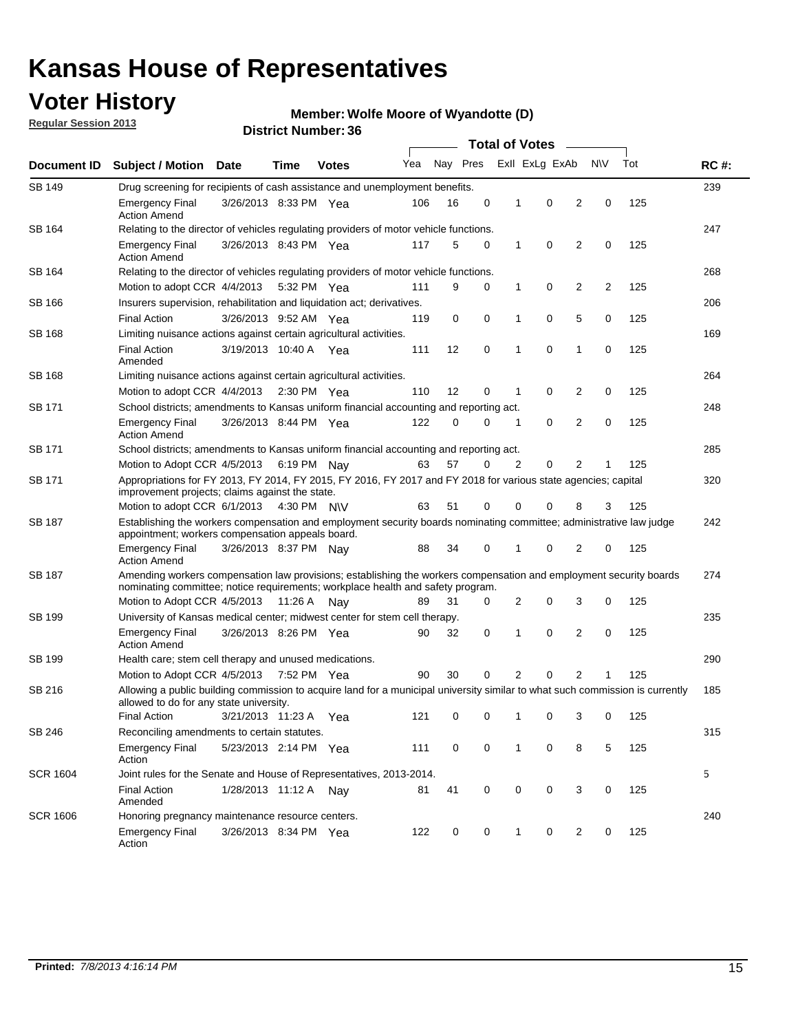## **Voter History**

**Regular Session 2013**

#### **Member: Wolfe Moore of Wyandotte (D)**

|                 |                                                                                                                                                                                                       |                                                                                                                                                                         |                                                                                   |              |     |          | <b>Total of Votes</b> |   |                |                |           |     |             |
|-----------------|-------------------------------------------------------------------------------------------------------------------------------------------------------------------------------------------------------|-------------------------------------------------------------------------------------------------------------------------------------------------------------------------|-----------------------------------------------------------------------------------|--------------|-----|----------|-----------------------|---|----------------|----------------|-----------|-----|-------------|
| Document ID     | <b>Subject / Motion</b>                                                                                                                                                                               | Date                                                                                                                                                                    | Time                                                                              | <b>Votes</b> | Yea | Nay Pres |                       |   | Exll ExLg ExAb |                | <b>NV</b> | Tot | <b>RC#:</b> |
| <b>SB 149</b>   | 239<br>Drug screening for recipients of cash assistance and unemployment benefits.                                                                                                                    |                                                                                                                                                                         |                                                                                   |              |     |          |                       |   |                |                |           |     |             |
|                 | <b>Emergency Final</b><br><b>Action Amend</b>                                                                                                                                                         | 3/26/2013 8:33 PM Yea                                                                                                                                                   |                                                                                   |              | 106 | 16       | 0                     | 1 | 0              | 2              | 0         | 125 |             |
| SB 164          | Relating to the director of vehicles regulating providers of motor vehicle functions.                                                                                                                 |                                                                                                                                                                         |                                                                                   |              |     |          |                       |   |                |                |           |     | 247         |
|                 | <b>Emergency Final</b><br><b>Action Amend</b>                                                                                                                                                         | 3/26/2013 8:43 PM Yea                                                                                                                                                   |                                                                                   |              | 117 | 5        | 0                     | 1 | 0              | 2              | 0         | 125 |             |
| SB 164          | Relating to the director of vehicles regulating providers of motor vehicle functions.                                                                                                                 |                                                                                                                                                                         |                                                                                   |              |     |          |                       |   |                |                |           |     | 268         |
|                 |                                                                                                                                                                                                       | 0<br>Motion to adopt CCR 4/4/2013 5:32 PM Yea<br>9<br>0<br>$\mathbf{1}$<br>2<br>2<br>125<br>111                                                                         |                                                                                   |              |     |          |                       |   |                |                |           |     |             |
| SB 166          | Insurers supervision, rehabilitation and liquidation act; derivatives.                                                                                                                                |                                                                                                                                                                         |                                                                                   |              |     |          |                       |   |                |                |           |     | 206         |
|                 | <b>Final Action</b>                                                                                                                                                                                   | 3/26/2013 9:52 AM Yea                                                                                                                                                   |                                                                                   |              | 119 | 0        | 0                     | 1 | 0              | 5              | 0         | 125 |             |
| <b>SB 168</b>   | Limiting nuisance actions against certain agricultural activities.                                                                                                                                    |                                                                                                                                                                         |                                                                                   |              |     |          |                       |   |                |                |           |     | 169         |
|                 | <b>Final Action</b><br>Amended                                                                                                                                                                        | 3/19/2013 10:40 A Yea                                                                                                                                                   |                                                                                   |              | 111 | 12       | 0                     | 1 | $\mathbf 0$    | 1              | 0         | 125 |             |
| SB 168          | Limiting nuisance actions against certain agricultural activities.                                                                                                                                    |                                                                                                                                                                         |                                                                                   |              |     |          |                       |   |                |                |           |     | 264         |
|                 | Motion to adopt CCR 4/4/2013                                                                                                                                                                          |                                                                                                                                                                         |                                                                                   | 2:30 PM Yea  | 110 | 12       | 0                     | 1 | 0              | 2              | 0         | 125 |             |
| SB 171          | School districts; amendments to Kansas uniform financial accounting and reporting act.                                                                                                                |                                                                                                                                                                         |                                                                                   |              |     |          |                       |   |                |                |           |     | 248         |
|                 | <b>Emergency Final</b><br><b>Action Amend</b>                                                                                                                                                         | 3/26/2013 8:44 PM Yea                                                                                                                                                   |                                                                                   |              | 122 | 0        | 0                     | 1 | 0              | 2              | 0         | 125 |             |
| SB 171          |                                                                                                                                                                                                       | School districts; amendments to Kansas uniform financial accounting and reporting act.                                                                                  |                                                                                   |              |     |          |                       |   |                |                |           |     | 285         |
|                 | Motion to Adopt CCR 4/5/2013 6:19 PM Nay                                                                                                                                                              |                                                                                                                                                                         |                                                                                   |              | 63  | 57       | 0                     | 2 | 0              | 2              | 1         | 125 |             |
| SB 171          | Appropriations for FY 2013, FY 2014, FY 2015, FY 2016, FY 2017 and FY 2018 for various state agencies; capital<br>improvement projects; claims against the state.                                     |                                                                                                                                                                         |                                                                                   |              |     |          |                       |   |                |                |           | 320 |             |
|                 | Motion to adopt CCR 6/1/2013 4:30 PM N\V                                                                                                                                                              |                                                                                                                                                                         |                                                                                   |              | 63  | 51       | 0                     | 0 | 0              | 8              | 3         | 125 |             |
| SB 187          |                                                                                                                                                                                                       | Establishing the workers compensation and employment security boards nominating committee; administrative law judge<br>appointment; workers compensation appeals board. |                                                                                   |              |     |          |                       |   |                |                |           |     |             |
|                 | <b>Emergency Final</b><br><b>Action Amend</b>                                                                                                                                                         | 3/26/2013 8:37 PM Nay                                                                                                                                                   |                                                                                   |              | 88  | 34       | 0                     | 1 | 0              | 2              | 0         | 125 |             |
| SB 187          | Amending workers compensation law provisions; establishing the workers compensation and employment security boards<br>nominating committee; notice requirements; workplace health and safety program. |                                                                                                                                                                         |                                                                                   |              |     |          |                       |   |                |                |           |     | 274         |
|                 | Motion to Adopt CCR 4/5/2013 11:26 A Nav                                                                                                                                                              |                                                                                                                                                                         |                                                                                   |              | 89  | 31       | 0                     | 2 | 0              | 3              | 0         | 125 |             |
| SB 199          |                                                                                                                                                                                                       |                                                                                                                                                                         | 235<br>University of Kansas medical center; midwest center for stem cell therapy. |              |     |          |                       |   |                |                |           |     |             |
|                 | <b>Emergency Final</b><br><b>Action Amend</b>                                                                                                                                                         | 3/26/2013 8:26 PM Yea                                                                                                                                                   |                                                                                   |              | 90  | 32       | 0                     | 1 | 0              | 2              | 0         | 125 |             |
| SB 199          | Health care; stem cell therapy and unused medications.                                                                                                                                                |                                                                                                                                                                         |                                                                                   |              |     |          |                       |   |                |                |           |     | 290         |
|                 | Motion to Adopt CCR 4/5/2013 7:52 PM Yea                                                                                                                                                              |                                                                                                                                                                         |                                                                                   |              | 90  | 30       | 0                     | 2 | 0              | $\overline{2}$ | 1         | 125 |             |
| SB 216          | Allowing a public building commission to acquire land for a municipal university similar to what such commission is currently<br>allowed to do for any state university.                              |                                                                                                                                                                         |                                                                                   |              |     |          |                       |   |                |                |           |     | 185         |
|                 | <b>Final Action</b>                                                                                                                                                                                   | 3/21/2013 11:23 A Yea                                                                                                                                                   |                                                                                   |              | 121 | 0        | 0                     | 1 | 0              | 3              | 0         | 125 |             |
| SB 246          | Reconciling amendments to certain statutes.                                                                                                                                                           |                                                                                                                                                                         |                                                                                   |              |     |          |                       |   |                |                |           |     | 315         |
|                 | <b>Emergency Final</b><br>Action                                                                                                                                                                      | 5/23/2013 2:14 PM Yea                                                                                                                                                   |                                                                                   |              | 111 | 0        | 0                     | 1 | 0              | 8              | 5         | 125 |             |
| <b>SCR 1604</b> | Joint rules for the Senate and House of Representatives, 2013-2014.                                                                                                                                   |                                                                                                                                                                         |                                                                                   |              |     |          |                       |   |                |                |           |     | 5           |
|                 | <b>Final Action</b><br>Amended                                                                                                                                                                        | 1/28/2013 11:12 A Nay                                                                                                                                                   |                                                                                   |              | 81  | 41       | 0                     | 0 | 0              | 3              | 0         | 125 |             |
| <b>SCR 1606</b> | Honoring pregnancy maintenance resource centers.                                                                                                                                                      |                                                                                                                                                                         |                                                                                   |              |     |          |                       |   |                |                |           |     | 240         |
|                 | <b>Emergency Final</b><br>Action                                                                                                                                                                      | 3/26/2013 8:34 PM Yea                                                                                                                                                   |                                                                                   |              | 122 | 0        | 0                     | 1 | 0              | 2              | 0         | 125 |             |